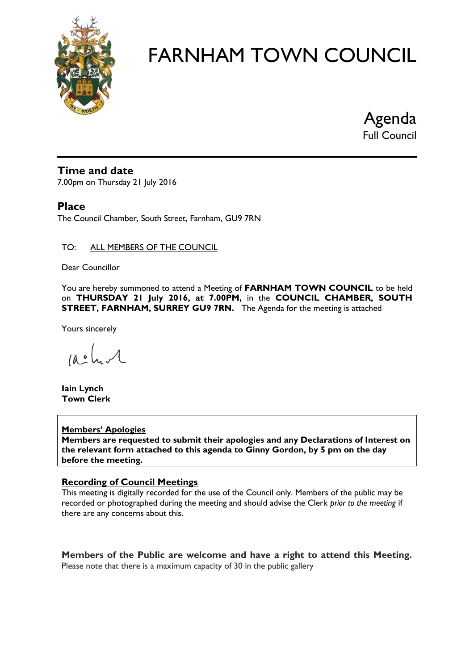

Agenda

Full Council

#### **Time and date**

7.00pm on Thursday 21 July 2016

#### **Place**

The Council Chamber, South Street, Farnham, GU9 7RN

#### TO: ALL MEMBERS OF THE COUNCIL

Dear Councillor

You are hereby summoned to attend a Meeting of **FARNHAM TOWN COUNCIL** to be held on **THURSDAY 21 July 2016, at 7.00PM,** in the **COUNCIL CHAMBER, SOUTH STREET, FARNHAM, SURREY GU9 7RN.** The Agenda for the meeting is attached

Yours sincerely

 $10.0$ 

**Iain Lynch Town Clerk**

#### **Members' Apologies**

**Members are requested to submit their apologies and any Declarations of Interest on the relevant form attached to this agenda to Ginny Gordon, by 5 pm on the day before the meeting.**

#### **Recording of Council Meetings**

This meeting is digitally recorded for the use of the Council only. Members of the public may be recorded or photographed during the meeting and should advise the Clerk *prior to the meeting* if there are any concerns about this.

**Members of the Public are welcome and have a right to attend this Meeting.**  Please note that there is a maximum capacity of 30 in the public gallery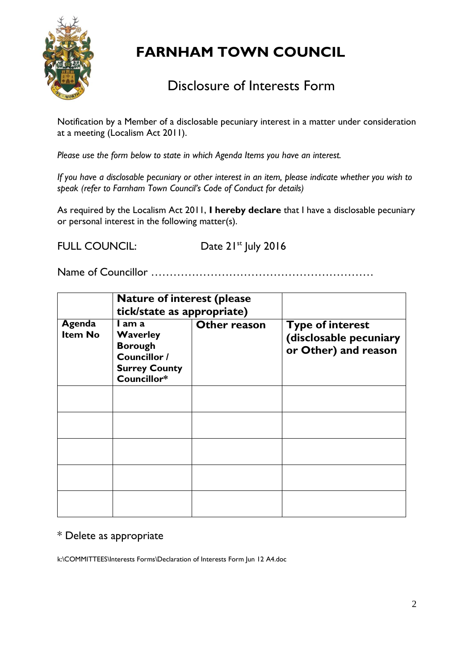

#### Disclosure of Interests Form

Notification by a Member of a disclosable pecuniary interest in a matter under consideration at a meeting (Localism Act 2011).

*Please use the form below to state in which Agenda Items you have an interest.* 

*If you have a disclosable pecuniary or other interest in an item, please indicate whether you wish to speak (refer to Farnham Town Council's Code of Conduct for details)*

As required by the Localism Act 2011, **I hereby declare** that I have a disclosable pecuniary or personal interest in the following matter(s).

FULL COUNCIL: Date 21<sup>st</sup> July 2016

Name of Councillor ……………………………………………………

|                          | <b>Nature of interest (please</b><br>tick/state as appropriate)                                    |              |                                                                           |  |
|--------------------------|----------------------------------------------------------------------------------------------------|--------------|---------------------------------------------------------------------------|--|
| Agenda<br><b>Item No</b> | I am a<br><b>Waverley</b><br><b>Borough</b><br>Councillor /<br><b>Surrey County</b><br>Councillor* | Other reason | <b>Type of interest</b><br>(disclosable pecuniary<br>or Other) and reason |  |
|                          |                                                                                                    |              |                                                                           |  |
|                          |                                                                                                    |              |                                                                           |  |
|                          |                                                                                                    |              |                                                                           |  |
|                          |                                                                                                    |              |                                                                           |  |
|                          |                                                                                                    |              |                                                                           |  |

#### \* Delete as appropriate

k:\COMMITTEES\Interests Forms\Declaration of Interests Form Jun 12 A4.doc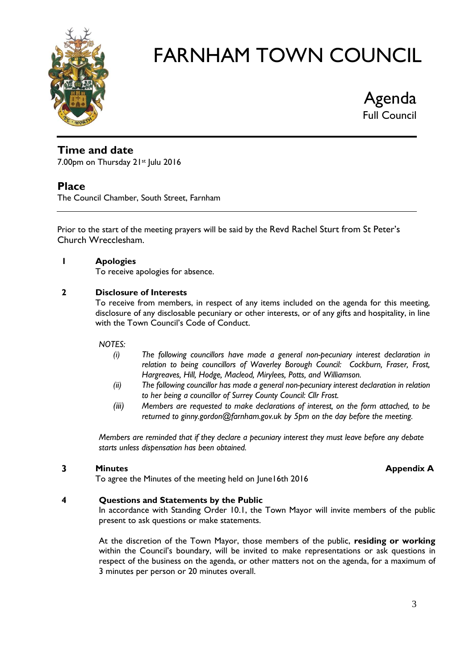

Agenda Full Council

#### **Time and date**

7.00pm on Thursday 21st July 2016

#### **Place**

The Council Chamber, South Street, Farnham

Prior to the start of the meeting prayers will be said by the Revd Rachel Sturt from St Peter's Church Wrecclesham.

#### **1 Apologies**

To receive apologies for absence.

#### **2 Disclosure of Interests**

To receive from members, in respect of any items included on the agenda for this meeting, disclosure of any disclosable pecuniary or other interests, or of any gifts and hospitality, in line with the Town Council's Code of Conduct.

#### *NOTES:*

- *(i) The following councillors have made a general non-pecuniary interest declaration in relation to being councillors of Waverley Borough Council: Cockburn, Fraser, Frost, Hargreaves, Hill, Hodge, Macleod, Mirylees, Potts, and Williamson.*
- *(ii) The following councillor has made a general non-pecuniary interest declaration in relation to her being a councillor of Surrey County Council: Cllr Frost.*
- *(iii) Members are requested to make declarations of interest, on the form attached, to be returned to ginny.gordon@farnham.gov.uk by 5pm on the day before the meeting.*

*Members are reminded that if they declare a pecuniary interest they must leave before any debate starts unless dispensation has been obtained.*

#### **3 Minutes Appendix A**

To agree the Minutes of the meeting held on June16th 2016

#### **4 Questions and Statements by the Public**

In accordance with Standing Order 10.1, the Town Mayor will invite members of the public present to ask questions or make statements.

At the discretion of the Town Mayor, those members of the public, **residing or working** within the Council's boundary, will be invited to make representations or ask questions in respect of the business on the agenda, or other matters not on the agenda, for a maximum of 3 minutes per person or 20 minutes overall.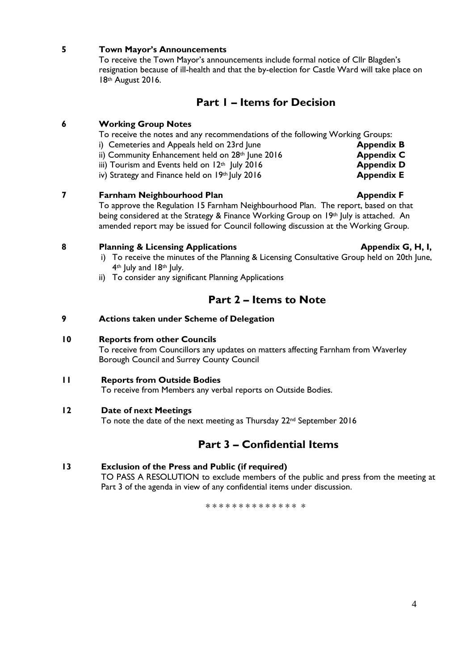#### **5 Town Mayor's Announcements**

To receive the Town Mayor's announcements include formal notice of Cllr Blagden's resignation because of ill-health and that the by-election for Castle Ward will take place on 18th August 2016.

#### **Part 1 – Items for Decision**

#### **6 Working Group Notes**

To receive the notes and any recommendations of the following Working Groups:

- i) Cemeteries and Appeals held on 23rd June **Appendix B**
- ii) Community Enhancement held on 28<sup>th</sup> June 2016 **Appendix C**
- iii) Tourism and Events held on  $12<sup>th</sup>$  July 2016 **Appendix D**
- iv) Strategy and Finance held on 19<sup>th</sup> July 2016 **Appendix E**

#### **7 Farnham Neighbourhood Plan Appendix F**

To approve the Regulation 15 Farnham Neighbourhood Plan. The report, based on that being considered at the Strategy & Finance Working Group on 19<sup>th</sup> July is attached. An amended report may be issued for Council following discussion at the Working Group.

#### **8 Planning & Licensing Applications Appendix G, H, I,**

- i) To receive the minutes of the Planning & Licensing Consultative Group held on 20th June, 4<sup>th</sup> July and 18<sup>th</sup> July.
- ii) To consider any significant Planning Applications

#### **Part 2 – Items to Note**

#### **9 Actions taken under Scheme of Delegation**

#### **10 Reports from other Councils**

To receive from Councillors any updates on matters affecting Farnham from Waverley Borough Council and Surrey County Council

#### **11 Reports from Outside Bodies**

To receive from Members any verbal reports on Outside Bodies.

#### **12 Date of next Meetings**

To note the date of the next meeting as Thursday 22nd September 2016

#### **Part 3 – Confidential Items**

#### **13 Exclusion of the Press and Public (if required)**

TO PASS A RESOLUTION to exclude members of the public and press from the meeting at Part 3 of the agenda in view of any confidential items under discussion.

\* \* \* \* \* \* \* \* \* \* \* \* \* \*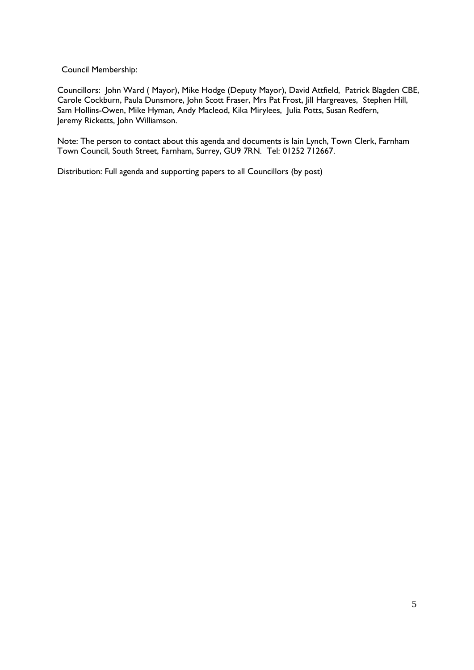Council Membership:

Councillors: John Ward ( Mayor), Mike Hodge (Deputy Mayor), David Attfield, Patrick Blagden CBE, Carole Cockburn, Paula Dunsmore, John Scott Fraser, Mrs Pat Frost, Jill Hargreaves, Stephen Hill, Sam Hollins-Owen, Mike Hyman, Andy Macleod, Kika Mirylees, Julia Potts, Susan Redfern, Jeremy Ricketts, John Williamson.

Note: The person to contact about this agenda and documents is Iain Lynch, Town Clerk, Farnham Town Council, South Street, Farnham, Surrey, GU9 7RN. Tel: 01252 712667.

Distribution: Full agenda and supporting papers to all Councillors (by post)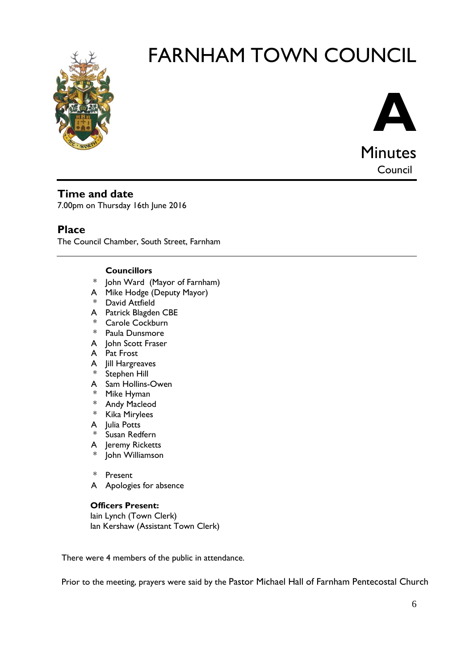



Council

#### **Time and date**

7.00pm on Thursday 16th June 2016

#### **Place**

The Council Chamber, South Street, Farnham

#### **Councillors**

- \* John Ward (Mayor of Farnham)
- A Mike Hodge (Deputy Mayor)
- \* David Attfield
- A Patrick Blagden CBE
- \* Carole Cockburn
- \* Paula Dunsmore
- A John Scott Fraser
- A Pat Frost
- A Jill Hargreaves
- \* Stephen Hill
- A Sam Hollins-Owen
- \* Mike Hyman
- \* Andy Macleod
- \* Kika Mirylees
- A Julia Potts
- \* Susan Redfern
- A Jeremy Ricketts
- John Williamson

\* Present

A Apologies for absence

#### **Officers Present:**

Iain Lynch (Town Clerk) Ian Kershaw (Assistant Town Clerk)

There were 4 members of the public in attendance.

Prior to the meeting, prayers were said by the Pastor Michael Hall of Farnham Pentecostal Church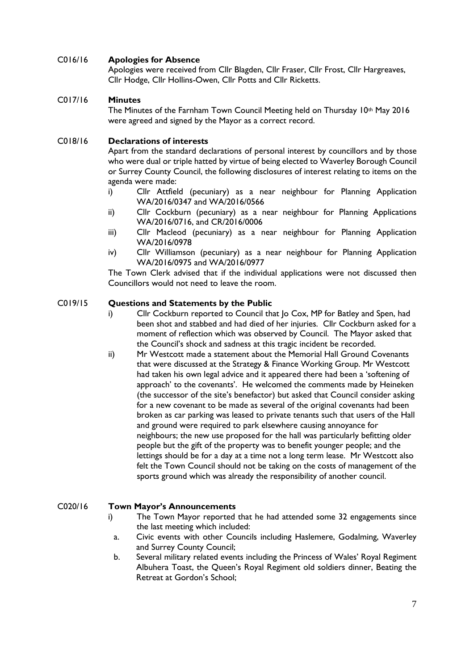#### C016/16 **Apologies for Absence**

Apologies were received from Cllr Blagden, Cllr Fraser, Cllr Frost, Cllr Hargreaves, Cllr Hodge, Cllr Hollins-Owen, Cllr Potts and Cllr Ricketts.

#### C017/16 **Minutes**

The Minutes of the Farnham Town Council Meeting held on Thursday  $10<sup>th</sup>$  May 2016 were agreed and signed by the Mayor as a correct record.

#### C018/16 **Declarations of interests**

Apart from the standard declarations of personal interest by councillors and by those who were dual or triple hatted by virtue of being elected to Waverley Borough Council or Surrey County Council, the following disclosures of interest relating to items on the agenda were made:

- i) Cllr Attfield (pecuniary) as a near neighbour for Planning Application WA/2016/0347 and WA/2016/0566
- ii) Cllr Cockburn (pecuniary) as a near neighbour for Planning Applications WA/2016/0716, and CR/2016/0006
- iii) Cllr Macleod (pecuniary) as a near neighbour for Planning Application WA/2016/0978
- iv) Cllr Williamson (pecuniary) as a near neighbour for Planning Application WA/2016/0975 and WA/2016/0977

The Town Clerk advised that if the individual applications were not discussed then Councillors would not need to leave the room.

#### C019/15 **Questions and Statements by the Public**

- i) Cllr Cockburn reported to Council that Jo Cox, MP for Batley and Spen, had been shot and stabbed and had died of her injuries. Cllr Cockburn asked for a moment of reflection which was observed by Council. The Mayor asked that the Council's shock and sadness at this tragic incident be recorded.
- ii) Mr Westcott made a statement about the Memorial Hall Ground Covenants that were discussed at the Strategy & Finance Working Group. Mr Westcott had taken his own legal advice and it appeared there had been a 'softening of approach' to the covenants'. He welcomed the comments made by Heineken (the successor of the site's benefactor) but asked that Council consider asking for a new covenant to be made as several of the original covenants had been broken as car parking was leased to private tenants such that users of the Hall and ground were required to park elsewhere causing annoyance for neighbours; the new use proposed for the hall was particularly befitting older people but the gift of the property was to benefit younger people; and the lettings should be for a day at a time not a long term lease. Mr Westcott also felt the Town Council should not be taking on the costs of management of the sports ground which was already the responsibility of another council.

#### C020/16 **Town Mayor's Announcements**

- i) The Town Mayor reported that he had attended some 32 engagements since the last meeting which included:
	- a. Civic events with other Councils including Haslemere, Godalming, Waverley and Surrey County Council;
- b. Several military related events including the Princess of Wales' Royal Regiment Albuhera Toast, the Queen's Royal Regiment old soldiers dinner, Beating the Retreat at Gordon's School;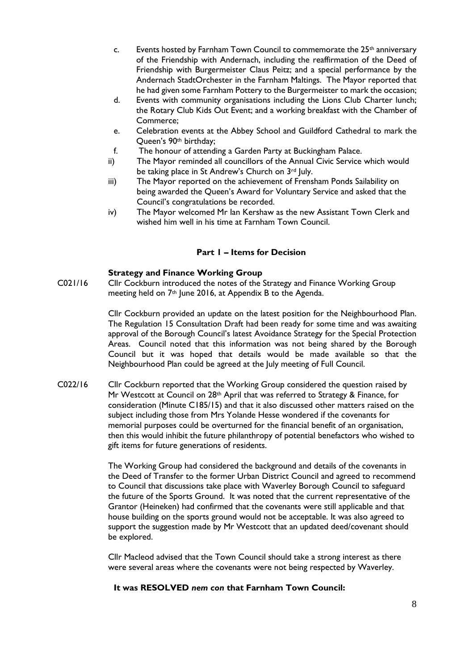- c. Events hosted by Farnham Town Council to commemorate the  $25<sup>th</sup>$  anniversary of the Friendship with Andernach, including the reaffirmation of the Deed of Friendship with Burgermeister Claus Peitz; and a special performance by the Andernach StadtOrchester in the Farnham Maltings. The Mayor reported that he had given some Farnham Pottery to the Burgermeister to mark the occasion;
- d. Events with community organisations including the Lions Club Charter lunch; the Rotary Club Kids Out Event; and a working breakfast with the Chamber of Commerce;
- e. Celebration events at the Abbey School and Guildford Cathedral to mark the Queen's 90th birthday;
- f. The honour of attending a Garden Party at Buckingham Palace.
- ii) The Mayor reminded all councillors of the Annual Civic Service which would be taking place in St Andrew's Church on 3rd July.
- iii) The Mayor reported on the achievement of Frensham Ponds Sailability on being awarded the Queen's Award for Voluntary Service and asked that the Council's congratulations be recorded.
- iv) The Mayor welcomed Mr Ian Kershaw as the new Assistant Town Clerk and wished him well in his time at Farnham Town Council.

#### **Part 1 – Items for Decision**

#### **Strategy and Finance Working Group**

C021/16 Cllr Cockburn introduced the notes of the Strategy and Finance Working Group meeting held on 7th June 2016, at Appendix B to the Agenda.

> Cllr Cockburn provided an update on the latest position for the Neighbourhood Plan. The Regulation 15 Consultation Draft had been ready for some time and was awaiting approval of the Borough Council's latest Avoidance Strategy for the Special Protection Areas. Council noted that this information was not being shared by the Borough Council but it was hoped that details would be made available so that the Neighbourhood Plan could be agreed at the July meeting of Full Council.

C022/16 Cllr Cockburn reported that the Working Group considered the question raised by Mr Westcott at Council on 28th April that was referred to Strategy & Finance, for consideration (Minute C185/15) and that it also discussed other matters raised on the subject including those from Mrs Yolande Hesse wondered if the covenants for memorial purposes could be overturned for the financial benefit of an organisation, then this would inhibit the future philanthropy of potential benefactors who wished to gift items for future generations of residents.

> The Working Group had considered the background and details of the covenants in the Deed of Transfer to the former Urban District Council and agreed to recommend to Council that discussions take place with Waverley Borough Council to safeguard the future of the Sports Ground. It was noted that the current representative of the Grantor (Heineken) had confirmed that the covenants were still applicable and that house building on the sports ground would not be acceptable. It was also agreed to support the suggestion made by Mr Westcott that an updated deed/covenant should be explored.

Cllr Macleod advised that the Town Council should take a strong interest as there were several areas where the covenants were not being respected by Waverley.

#### **It was RESOLVED** *nem con* **that Farnham Town Council:**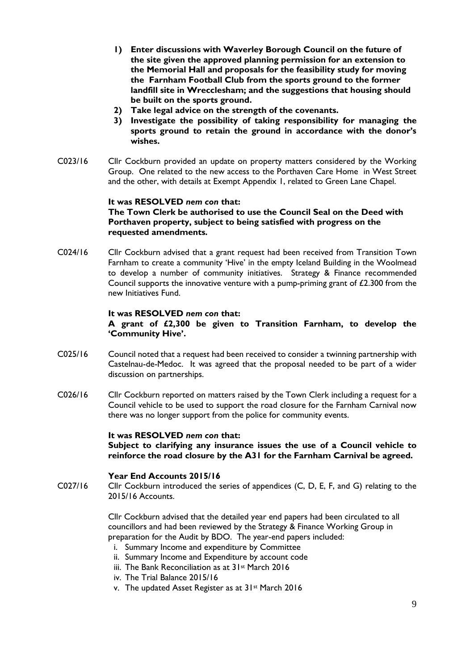- **1) Enter discussions with Waverley Borough Council on the future of the site given the approved planning permission for an extension to the Memorial Hall and proposals for the feasibility study for moving the Farnham Football Club from the sports ground to the former landfill site in Wrecclesham; and the suggestions that housing should be built on the sports ground.**
- 
- **2) Take legal advice on the strength of the covenants. 3) Investigate the possibility of taking responsibility for managing the sports ground to retain the ground in accordance with the donor's wishes.**
- C023/16 Cllr Cockburn provided an update on property matters considered by the Working Group. One related to the new access to the Porthaven Care Home in West Street and the other, with details at Exempt Appendix 1, related to Green Lane Chapel.

#### **It was RESOLVED** *nem con* **that: The Town Clerk be authorised to use the Council Seal on the Deed with Porthaven property, subject to being satisfied with progress on the requested amendments.**

C024/16 Cllr Cockburn advised that a grant request had been received from Transition Town Farnham to create a community 'Hive' in the empty Iceland Building in the Woolmead to develop a number of community initiatives. Strategy & Finance recommended Council supports the innovative venture with a pump-priming grant of £2.300 from the new Initiatives Fund.

#### **It was RESOLVED** *nem con* **that:**

#### **A grant of £2,300 be given to Transition Farnham, to develop the 'Community Hive'.**

- C025/16 Council noted that a request had been received to consider a twinning partnership with Castelnau-de-Medoc. It was agreed that the proposal needed to be part of a wider discussion on partnerships.
- C026/16 Cllr Cockburn reported on matters raised by the Town Clerk including a request for a Council vehicle to be used to support the road closure for the Farnham Carnival now there was no longer support from the police for community events.

#### **It was RESOLVED** *nem con* **that:**

**Subject to clarifying any insurance issues the use of a Council vehicle to reinforce the road closure by the A31 for the Farnham Carnival be agreed.**

#### **Year End Accounts 2015/16**

C027/16 Cllr Cockburn introduced the series of appendices (C, D, E, F, and G) relating to the 2015/16 Accounts.

> Cllr Cockburn advised that the detailed year end papers had been circulated to all councillors and had been reviewed by the Strategy & Finance Working Group in preparation for the Audit by BDO. The year-end papers included:

- i. Summary Income and expenditure by Committee
- ii. Summary Income and Expenditure by account code
- iii. The Bank Reconciliation as at 31st March 2016
- iv. The Trial Balance 2015/16
- v. The updated Asset Register as at 31st March 2016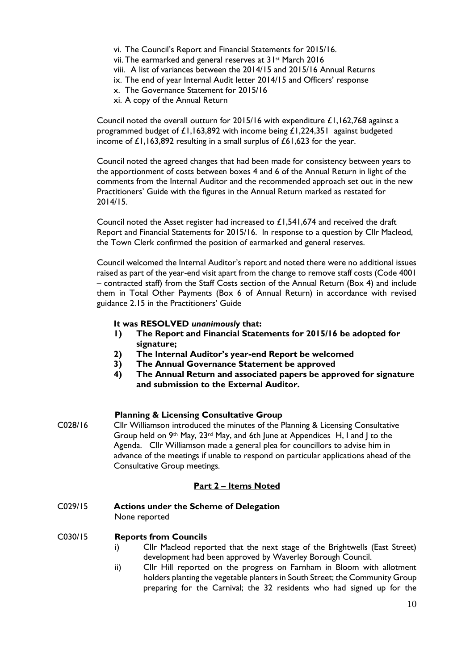- vi. The Council's Report and Financial Statements for 2015/16.
- vii. The earmarked and general reserves at 31st March 2016
- viii. A list of variances between the 2014/15 and 2015/16 Annual Returns
- ix. The end of year Internal Audit letter 2014/15 and Officers' response
- x. The Governance Statement for 2015/16
- xi. A copy of the Annual Return

Council noted the overall outturn for 2015/16 with expenditure  $\pounds1,162,768$  against a programmed budget of £1,163,892 with income being £1,224,351 against budgeted income of £1,163,892 resulting in a small surplus of £61,623 for the year.

Council noted the agreed changes that had been made for consistency between years to the apportionment of costs between boxes 4 and 6 of the Annual Return in light of the comments from the Internal Auditor and the recommended approach set out in the new Practitioners' Guide with the figures in the Annual Return marked as restated for 2014/15.

Council noted the Asset register had increased to £1,541,674 and received the draft Report and Financial Statements for 2015/16. In response to a question by Cllr Macleod, the Town Clerk confirmed the position of earmarked and general reserves.

Council welcomed the Internal Auditor's report and noted there were no additional issues raised as part of the year-end visit apart from the change to remove staff costs (Code 4001 – contracted staff) from the Staff Costs section of the Annual Return (Box 4) and include them in Total Other Payments (Box 6 of Annual Return) in accordance with revised guidance 2.15 in the Practitioners' Guide

#### **It was RESOLVED** *unanimously* **that:**

- **1) The Report and Financial Statements for 2015/16 be adopted for signature;**
- **2) The Internal Auditor's year-end Report be welcomed**
- **3) The Annual Governance Statement be approved**
- **4) The Annual Return and associated papers be approved for signature and submission to the External Auditor.**

#### **Planning & Licensing Consultative Group**

C028/16 Cllr Williamson introduced the minutes of the Planning & Licensing Consultative Group held on  $9th$  May,  $23rd$  May, and 6th June at Appendices H, I and J to the Agenda. Cllr Williamson made a general plea for councillors to advise him in advance of the meetings if unable to respond on particular applications ahead of the Consultative Group meetings.

#### **Part 2 – Items Noted**

C029/15 **Actions under the Scheme of Delegation**

None reported

#### C030/15 **Reports from Councils**

- i) Cllr Macleod reported that the next stage of the Brightwells (East Street) development had been approved by Waverley Borough Council.
- ii) Cllr Hill reported on the progress on Farnham in Bloom with allotment holders planting the vegetable planters in South Street; the Community Group preparing for the Carnival; the 32 residents who had signed up for the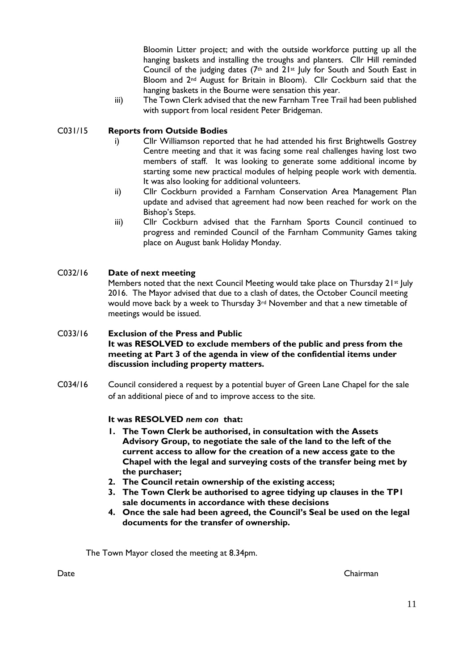Bloomin Litter project; and with the outside workforce putting up all the hanging baskets and installing the troughs and planters. Cllr Hill reminded Council of the judging dates  $(7<sup>th</sup>$  and  $2<sup>1st</sup>$  July for South and South East in Bloom and 2<sup>nd</sup> August for Britain in Bloom). Cllr Cockburn said that the hanging baskets in the Bourne were sensation this year.

iii) The Town Clerk advised that the new Farnham Tree Trail had been published with support from local resident Peter Bridgeman.

#### C031/15 **Reports from Outside Bodies**

- i) Cllr Williamson reported that he had attended his first Brightwells Gostrey Centre meeting and that it was facing some real challenges having lost two members of staff. It was looking to generate some additional income by starting some new practical modules of helping people work with dementia. It was also looking for additional volunteers.
- ii) Cllr Cockburn provided a Farnham Conservation Area Management Plan update and advised that agreement had now been reached for work on the Bishop's Steps.
- iii) Cllr Cockburn advised that the Farnham Sports Council continued to progress and reminded Council of the Farnham Community Games taking place on August bank Holiday Monday.

#### C032/16 **Date of next meeting**

Members noted that the next Council Meeting would take place on Thursday 21<sup>st</sup> July 2016. The Mayor advised that due to a clash of dates, the October Council meeting would move back by a week to Thursday 3rd November and that a new timetable of meetings would be issued.

#### C033/16 **Exclusion of the Press and Public It was RESOLVED to exclude members of the public and press from the meeting at Part 3 of the agenda in view of the confidential items under discussion including property matters.**

C034/16 Council considered a request by a potential buyer of Green Lane Chapel for the sale of an additional piece of and to improve access to the site.

#### **It was RESOLVED** *nem con* **that:**

- **1. The Town Clerk be authorised, in consultation with the Assets Advisory Group, to negotiate the sale of the land to the left of the current access to allow for the creation of a new access gate to the Chapel with the legal and surveying costs of the transfer being met by the purchaser;**
- **2. The Council retain ownership of the existing access;**
- **3. The Town Clerk be authorised to agree tidying up clauses in the TP1 sale documents in accordance with these decisions**
- **4. Once the sale had been agreed, the Council's Seal be used on the legal documents for the transfer of ownership.**

The Town Mayor closed the meeting at 8.34pm.

Date Chairman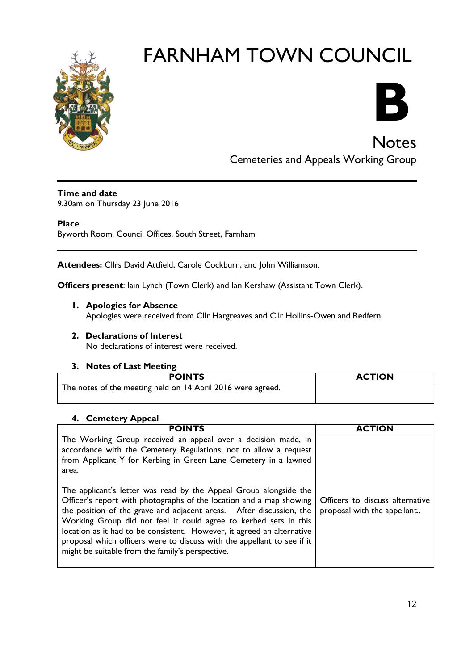



**Notes** 

Cemeteries and Appeals Working Group

#### **Time and date**

9.30am on Thursday 23 June 2016

#### **Place**

Byworth Room, Council Offices, South Street, Farnham

**Attendees:** Cllrs David Attfield, Carole Cockburn, and John Williamson.

**Officers present**: Iain Lynch (Town Clerk) and Ian Kershaw (Assistant Town Clerk).

**1. Apologies for Absence** 

Apologies were received from Cllr Hargreaves and Cllr Hollins-Owen and Redfern

**2. Declarations of Interest** No declarations of interest were received.

#### **3. Notes of Last Meeting**

| <b>POINTS</b>                                               | <b>ACTION</b> |
|-------------------------------------------------------------|---------------|
| The notes of the meeting held on 14 April 2016 were agreed. |               |
|                                                             |               |

#### **4. Cemetery Appeal**

| <b>POINTS</b>                                                                                                                                                                                                                                                                                                                                                                                                                                                                                | <b>ACTION</b>                                                  |
|----------------------------------------------------------------------------------------------------------------------------------------------------------------------------------------------------------------------------------------------------------------------------------------------------------------------------------------------------------------------------------------------------------------------------------------------------------------------------------------------|----------------------------------------------------------------|
| The Working Group received an appeal over a decision made, in<br>accordance with the Cemetery Regulations, not to allow a request<br>from Applicant Y for Kerbing in Green Lane Cemetery in a lawned<br>area.                                                                                                                                                                                                                                                                                |                                                                |
| The applicant's letter was read by the Appeal Group alongside the<br>Officer's report with photographs of the location and a map showing<br>the position of the grave and adjacent areas. After discussion, the<br>Working Group did not feel it could agree to kerbed sets in this<br>location as it had to be consistent. However, it agreed an alternative<br>proposal which officers were to discuss with the appellant to see if it<br>might be suitable from the family's perspective. | Officers to discuss alternative<br>proposal with the appellant |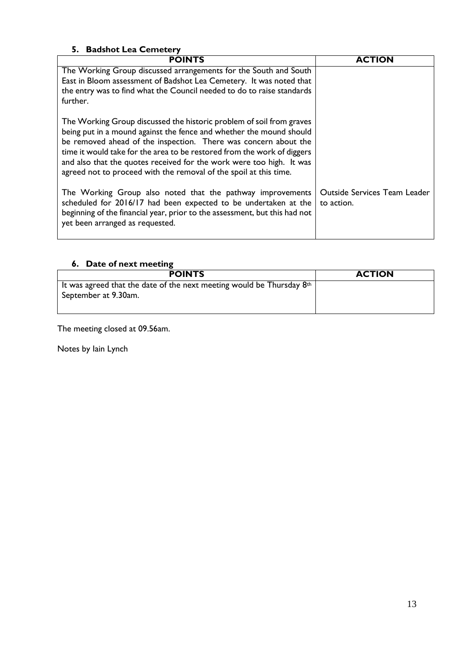| 5. Badshot Lea Cemetery                                                                                                                                                                                                                                                                                                                                                                                                                |                                            |  |
|----------------------------------------------------------------------------------------------------------------------------------------------------------------------------------------------------------------------------------------------------------------------------------------------------------------------------------------------------------------------------------------------------------------------------------------|--------------------------------------------|--|
| <b>POINTS</b>                                                                                                                                                                                                                                                                                                                                                                                                                          | <b>ACTION</b>                              |  |
| The Working Group discussed arrangements for the South and South<br>East in Bloom assessment of Badshot Lea Cemetery. It was noted that<br>the entry was to find what the Council needed to do to raise standards<br>further.                                                                                                                                                                                                          |                                            |  |
| The Working Group discussed the historic problem of soil from graves<br>being put in a mound against the fence and whether the mound should<br>be removed ahead of the inspection. There was concern about the<br>time it would take for the area to be restored from the work of diggers<br>and also that the quotes received for the work were too high. It was<br>agreed not to proceed with the removal of the spoil at this time. |                                            |  |
| The Working Group also noted that the pathway improvements<br>scheduled for 2016/17 had been expected to be undertaken at the<br>beginning of the financial year, prior to the assessment, but this had not<br>yet been arranged as requested.                                                                                                                                                                                         | Outside Services Team Leader<br>to action. |  |

#### **6. Date of next meeting**

| <b>POINTS</b>                                                           | <b>ACTION</b> |
|-------------------------------------------------------------------------|---------------|
| It was agreed that the date of the next meeting would be Thursday $8th$ |               |
| September at 9.30am.                                                    |               |
|                                                                         |               |

The meeting closed at 09.56am.

Notes by Iain Lynch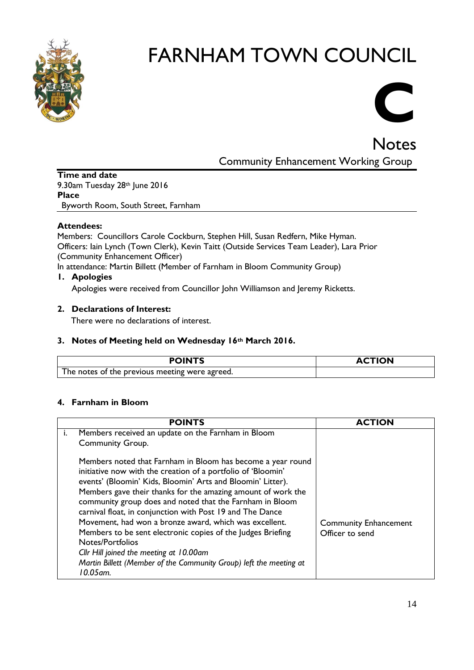

# **C**

Notes

Community Enhancement Working Group

**Time and date** 9.30am Tuesday 28th June 2016 **Place** Byworth Room, South Street, Farnham

#### **Attendees:**

Members: Councillors Carole Cockburn, Stephen Hill, Susan Redfern, Mike Hyman. Officers: Iain Lynch (Town Clerk), Kevin Taitt (Outside Services Team Leader), Lara Prior (Community Enhancement Officer)

In attendance: Martin Billett (Member of Farnham in Bloom Community Group)

#### **1. Apologies**

Apologies were received from Councillor John Williamson and Jeremy Ricketts.

#### **2. Declarations of Interest:**

There were no declarations of interest.

#### **3. Notes of Meeting held on Wednesday 16th March 2016.**

| The notes of the previous meeting were agreed. |  |
|------------------------------------------------|--|

#### **4. Farnham in Bloom**

|    | <b>POINTS</b>                                                                                                                                                                                                                                                                                                                                                                                                                                                                                                                                                                                                                                                  | <b>ACTION</b>                                   |
|----|----------------------------------------------------------------------------------------------------------------------------------------------------------------------------------------------------------------------------------------------------------------------------------------------------------------------------------------------------------------------------------------------------------------------------------------------------------------------------------------------------------------------------------------------------------------------------------------------------------------------------------------------------------------|-------------------------------------------------|
| İ. | Members received an update on the Farnham in Bloom                                                                                                                                                                                                                                                                                                                                                                                                                                                                                                                                                                                                             |                                                 |
|    | <b>Community Group.</b>                                                                                                                                                                                                                                                                                                                                                                                                                                                                                                                                                                                                                                        |                                                 |
|    | Members noted that Farnham in Bloom has become a year round<br>initiative now with the creation of a portfolio of 'Bloomin'<br>events' (Bloomin' Kids, Bloomin' Arts and Bloomin' Litter).<br>Members gave their thanks for the amazing amount of work the<br>community group does and noted that the Farnham in Bloom<br>carnival float, in conjunction with Post 19 and The Dance<br>Movement, had won a bronze award, which was excellent.<br>Members to be sent electronic copies of the Judges Briefing<br>Notes/Portfolios<br>Cllr Hill joined the meeting at 10.00am<br>Martin Billett (Member of the Community Group) left the meeting at<br>10.05 am. | <b>Community Enhancement</b><br>Officer to send |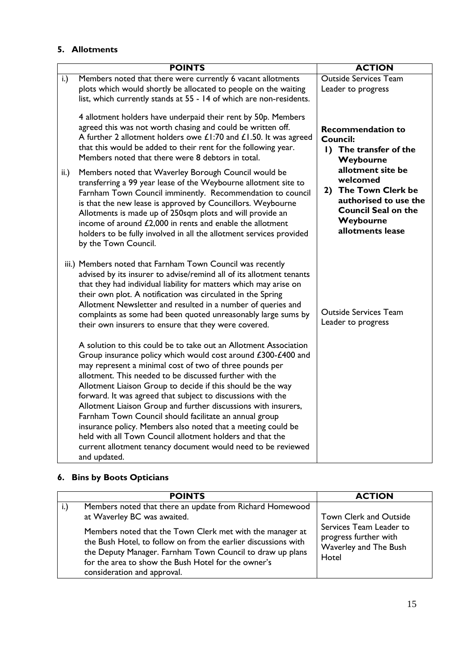#### **5. Allotments**

|                  | <b>POINTS</b>                                                                                                                                                                                                                                                                                                                                                                                                                                                                                                                                                                                                                                                                                                                 | <b>ACTION</b>                                                                                                                                    |
|------------------|-------------------------------------------------------------------------------------------------------------------------------------------------------------------------------------------------------------------------------------------------------------------------------------------------------------------------------------------------------------------------------------------------------------------------------------------------------------------------------------------------------------------------------------------------------------------------------------------------------------------------------------------------------------------------------------------------------------------------------|--------------------------------------------------------------------------------------------------------------------------------------------------|
| i.)              | Members noted that there were currently 6 vacant allotments<br>plots which would shortly be allocated to people on the waiting<br>list, which currently stands at 55 - 14 of which are non-residents.                                                                                                                                                                                                                                                                                                                                                                                                                                                                                                                         | <b>Outside Services Team</b><br>Leader to progress                                                                                               |
|                  | 4 allotment holders have underpaid their rent by 50p. Members<br>agreed this was not worth chasing and could be written off.<br>A further 2 allotment holders owe £1:70 and £1.50. It was agreed<br>that this would be added to their rent for the following year.<br>Members noted that there were 8 debtors in total.                                                                                                                                                                                                                                                                                                                                                                                                       | <b>Recommendation to</b><br><b>Council:</b><br>1) The transfer of the<br>Weybourne                                                               |
| $\mathsf{ii}$ .) | Members noted that Waverley Borough Council would be<br>transferring a 99 year lease of the Weybourne allotment site to<br>Farnham Town Council imminently. Recommendation to council<br>is that the new lease is approved by Councillors. Weybourne<br>Allotments is made up of 250sqm plots and will provide an<br>income of around £2,000 in rents and enable the allotment<br>holders to be fully involved in all the allotment services provided<br>by the Town Council.                                                                                                                                                                                                                                                 | allotment site be<br>welcomed<br>The Town Clerk be<br>2)<br>authorised to use the<br><b>Council Seal on the</b><br>Weybourne<br>allotments lease |
|                  | iii.) Members noted that Farnham Town Council was recently<br>advised by its insurer to advise/remind all of its allotment tenants<br>that they had individual liability for matters which may arise on<br>their own plot. A notification was circulated in the Spring<br>Allotment Newsletter and resulted in a number of queries and<br>complaints as some had been quoted unreasonably large sums by<br>their own insurers to ensure that they were covered.                                                                                                                                                                                                                                                               | <b>Outside Services Team</b><br>Leader to progress                                                                                               |
|                  | A solution to this could be to take out an Allotment Association<br>Group insurance policy which would cost around £300-£400 and<br>may represent a minimal cost of two of three pounds per<br>allotment. This needed to be discussed further with the<br>Allotment Liaison Group to decide if this should be the way<br>forward. It was agreed that subject to discussions with the<br>Allotment Liaison Group and further discussions with insurers,<br>Farnham Town Council should facilitate an annual group<br>insurance policy. Members also noted that a meeting could be<br>held with all Town Council allotment holders and that the<br>current allotment tenancy document would need to be reviewed<br>and updated. |                                                                                                                                                  |

#### **6. Bins by Boots Opticians**

| <b>POINTS</b>                                                                                                                                                                                                                                                                  | <b>ACTION</b>                                                                      |
|--------------------------------------------------------------------------------------------------------------------------------------------------------------------------------------------------------------------------------------------------------------------------------|------------------------------------------------------------------------------------|
| Members noted that there an update from Richard Homewood<br>at Waverley BC was awaited.                                                                                                                                                                                        | Town Clerk and Outside                                                             |
| Members noted that the Town Clerk met with the manager at<br>the Bush Hotel, to follow on from the earlier discussions with<br>the Deputy Manager. Farnham Town Council to draw up plans<br>for the area to show the Bush Hotel for the owner's<br>consideration and approval. | Services Team Leader to<br>progress further with<br>Waverley and The Bush<br>Hotel |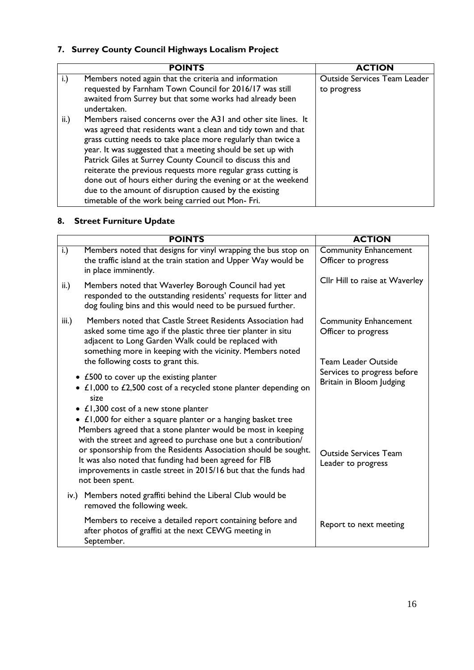#### **7. Surrey County Council Highways Localism Project**

|                 | <b>POINTS</b>                                                                                                                                                                                                                                                                                                                                                                                                                                                                                                                                                                 | <b>ACTION</b>                                      |
|-----------------|-------------------------------------------------------------------------------------------------------------------------------------------------------------------------------------------------------------------------------------------------------------------------------------------------------------------------------------------------------------------------------------------------------------------------------------------------------------------------------------------------------------------------------------------------------------------------------|----------------------------------------------------|
| i.)             | Members noted again that the criteria and information<br>requested by Farnham Town Council for 2016/17 was still<br>awaited from Surrey but that some works had already been<br>undertaken.                                                                                                                                                                                                                                                                                                                                                                                   | <b>Outside Services Team Leader</b><br>to progress |
| $\mathsf{ii}$ . | Members raised concerns over the A31 and other site lines. It<br>was agreed that residents want a clean and tidy town and that<br>grass cutting needs to take place more regularly than twice a<br>year. It was suggested that a meeting should be set up with<br>Patrick Giles at Surrey County Council to discuss this and<br>reiterate the previous requests more regular grass cutting is<br>done out of hours either during the evening or at the weekend<br>due to the amount of disruption caused by the existing<br>timetable of the work being carried out Mon- Fri. |                                                    |

#### **8. Street Furniture Update**

| <b>POINTS</b>                                                                                                                                                                                                                                                                                                                                                                                                                                                      | <b>ACTION</b>                                                                     |
|--------------------------------------------------------------------------------------------------------------------------------------------------------------------------------------------------------------------------------------------------------------------------------------------------------------------------------------------------------------------------------------------------------------------------------------------------------------------|-----------------------------------------------------------------------------------|
| Members noted that designs for vinyl wrapping the bus stop on<br>i.)<br>the traffic island at the train station and Upper Way would be<br>in place imminently.                                                                                                                                                                                                                                                                                                     | <b>Community Enhancement</b><br>Officer to progress                               |
| $\mathsf{ii}$ .<br>Members noted that Waverley Borough Council had yet<br>responded to the outstanding residents' requests for litter and<br>dog fouling bins and this would need to be pursued further.                                                                                                                                                                                                                                                           | Cllr Hill to raise at Waverley                                                    |
| Members noted that Castle Street Residents Association had<br>iii.)<br>asked some time ago if the plastic three tier planter in situ<br>adjacent to Long Garden Walk could be replaced with<br>something more in keeping with the vicinity. Members noted<br>the following costs to grant this.                                                                                                                                                                    | <b>Community Enhancement</b><br>Officer to progress<br><b>Team Leader Outside</b> |
| • £500 to cover up the existing planter<br>• £1,000 to £2,500 cost of a recycled stone planter depending on<br>size                                                                                                                                                                                                                                                                                                                                                | Services to progress before<br>Britain in Bloom Judging                           |
| • $\angle$ 1,300 cost of a new stone planter<br>• £1,000 for either a square planter or a hanging basket tree<br>Members agreed that a stone planter would be most in keeping<br>with the street and agreed to purchase one but a contribution/<br>or sponsorship from the Residents Association should be sought.<br>It was also noted that funding had been agreed for FIB<br>improvements in castle street in 2015/16 but that the funds had<br>not been spent. | <b>Outside Services Team</b><br>Leader to progress                                |
| iv.) Members noted graffiti behind the Liberal Club would be<br>removed the following week.                                                                                                                                                                                                                                                                                                                                                                        |                                                                                   |
| Members to receive a detailed report containing before and<br>after photos of graffiti at the next CEWG meeting in<br>September.                                                                                                                                                                                                                                                                                                                                   | Report to next meeting                                                            |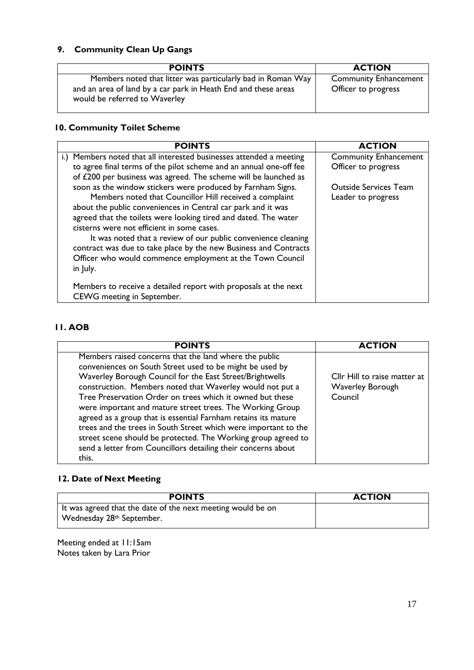#### **9. Community Clean Up Gangs**

| <b>POINTS</b>                                                                                                                                                  | <b>ACTION</b>                                       |
|----------------------------------------------------------------------------------------------------------------------------------------------------------------|-----------------------------------------------------|
| Members noted that litter was particularly bad in Roman Way<br>and an area of land by a car park in Heath End and these areas<br>would be referred to Waverley | <b>Community Enhancement</b><br>Officer to progress |

#### **10. Community Toilet Scheme**

| <b>POINTS</b>                                                       | <b>ACTION</b>                |
|---------------------------------------------------------------------|------------------------------|
| i.) Members noted that all interested businesses attended a meeting | <b>Community Enhancement</b> |
| to agree final terms of the pilot scheme and an annual one-off fee  | Officer to progress          |
| of £200 per business was agreed. The scheme will be launched as     |                              |
| soon as the window stickers were produced by Farnham Signs.         | <b>Outside Services Team</b> |
| Members noted that Councillor Hill received a complaint             | Leader to progress           |
| about the public conveniences in Central car park and it was        |                              |
| agreed that the toilets were looking tired and dated. The water     |                              |
| cisterns were not efficient in some cases.                          |                              |
| It was noted that a review of our public convenience cleaning       |                              |
| contract was due to take place by the new Business and Contracts    |                              |
| Officer who would commence employment at the Town Council           |                              |
| in July.                                                            |                              |
| Members to receive a detailed report with proposals at the next     |                              |
| CEWG meeting in September.                                          |                              |

#### **11. AOB**

| <b>POINTS</b>                                                                                                                                                                                                                                                                                                                                                                                                                                                                                                                                                                                                                                         | <b>ACTION</b>                                               |
|-------------------------------------------------------------------------------------------------------------------------------------------------------------------------------------------------------------------------------------------------------------------------------------------------------------------------------------------------------------------------------------------------------------------------------------------------------------------------------------------------------------------------------------------------------------------------------------------------------------------------------------------------------|-------------------------------------------------------------|
| Members raised concerns that the land where the public<br>conveniences on South Street used to be might be used by<br>Waverley Borough Council for the East Street/Brightwells<br>construction. Members noted that Waverley would not put a<br>Tree Preservation Order on trees which it owned but these<br>were important and mature street trees. The Working Group<br>agreed as a group that is essential Farnham retains its mature<br>trees and the trees in South Street which were important to the<br>street scene should be protected. The Working group agreed to<br>send a letter from Councillors detailing their concerns about<br>this. | Cllr Hill to raise matter at<br>Waverley Borough<br>Council |

#### **12. Date of Next Meeting**

| <b>POINTS</b>                                                                                        | <b>ACTION</b> |
|------------------------------------------------------------------------------------------------------|---------------|
| It was agreed that the date of the next meeting would be on<br>Wednesday 28 <sup>th</sup> September. |               |

Meeting ended at 11:15am Notes taken by Lara Prior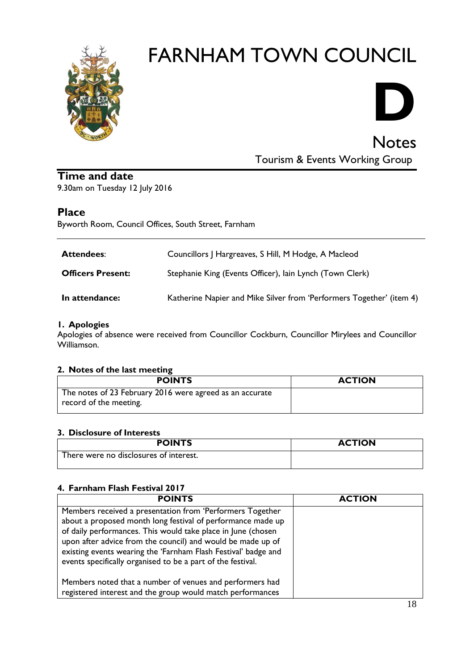

# **D**

Notes

Tourism & Events Working Group

#### **Time and date**

9.30am on Tuesday 12 July 2016

#### **Place**

Byworth Room, Council Offices, South Street, Farnham

| <b>Attendees:</b>        | Councillors J Hargreaves, S Hill, M Hodge, A Macleod                 |
|--------------------------|----------------------------------------------------------------------|
| <b>Officers Present:</b> | Stephanie King (Events Officer), lain Lynch (Town Clerk)             |
| In attendance:           | Katherine Napier and Mike Silver from 'Performers Together' (item 4) |

#### **1. Apologies**

Apologies of absence were received from Councillor Cockburn, Councillor Mirylees and Councillor Williamson.

#### **2. Notes of the last meeting**

| <b>ACTION</b> |
|---------------|
|               |
|               |

#### **3. Disclosure of Interests**

| <b>POINTS</b>                          | <b>ACTION</b> |
|----------------------------------------|---------------|
| There were no disclosures of interest. |               |

#### **4. Farnham Flash Festival 2017**

| <b>POINTS</b>                                                                                                                                                                                                                                                                                                                                                                            | <b>ACTION</b> |
|------------------------------------------------------------------------------------------------------------------------------------------------------------------------------------------------------------------------------------------------------------------------------------------------------------------------------------------------------------------------------------------|---------------|
| Members received a presentation from 'Performers Together<br>about a proposed month long festival of performance made up<br>of daily performances. This would take place in June (chosen<br>upon after advice from the council) and would be made up of<br>existing events wearing the 'Farnham Flash Festival' badge and<br>events specifically organised to be a part of the festival. |               |
| Members noted that a number of venues and performers had<br>registered interest and the group would match performances                                                                                                                                                                                                                                                                   |               |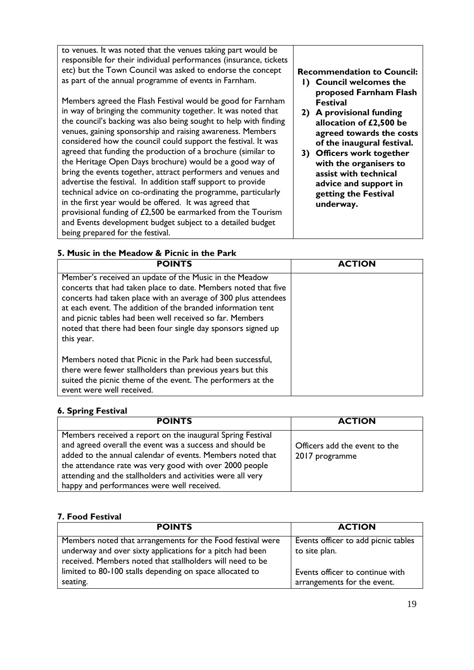to venues. It was noted that the venues taking part would be responsible for their individual performances (insurance, tickets etc) but the Town Council was asked to endorse the concept as part of the annual programme of events in Farnham. Members agreed the Flash Festival would be good for Farnham in way of bringing the community together. It was noted that the council's backing was also being sought to help with finding venues, gaining sponsorship and raising awareness. Members considered how the council could support the festival. It was agreed that funding the production of a brochure (similar to the Heritage Open Days brochure) would be a good way of bring the events together, attract performers and venues and advertise the festival. In addition staff support to provide technical advice on co-ordinating the programme, particularly in the first year would be offered. It was agreed that provisional funding of £2,500 be earmarked from the Tourism and Events development budget subject to a detailed budget being prepared for the festival. **Recommendation to Council: 1) Council welcomes the proposed Farnham Flash Festival 2) A provisional funding allocation of £2,500 be agreed towards the costs of the inaugural festival. 3) Officers work together with the organisers to assist with technical advice and support in getting the Festival underway.**

#### **5. Music in the Meadow & Picnic in the Park**

**POINTS ACTION** Member's received an update of the Music in the Meadow concerts that had taken place to date. Members noted that five concerts had taken place with an average of 300 plus attendees at each event. The addition of the branded information tent and picnic tables had been well received so far. Members noted that there had been four single day sponsors signed up this year. Members noted that Picnic in the Park had been successful, there were fewer stallholders than previous years but this suited the picnic theme of the event. The performers at the event were well received.

#### **6. Spring Festival**

| <b>POINTS</b>                                                                                                                                                                                                                                                                                                                                                | <b>ACTION</b>                                   |
|--------------------------------------------------------------------------------------------------------------------------------------------------------------------------------------------------------------------------------------------------------------------------------------------------------------------------------------------------------------|-------------------------------------------------|
| Members received a report on the inaugural Spring Festival<br>and agreed overall the event was a success and should be<br>added to the annual calendar of events. Members noted that<br>the attendance rate was very good with over 2000 people<br>attending and the stallholders and activities were all very<br>happy and performances were well received. | Officers add the event to the<br>2017 programme |

#### **7. Food Festival**

| <b>POINTS</b>                                              | <b>ACTION</b>                       |
|------------------------------------------------------------|-------------------------------------|
| Members noted that arrangements for the Food festival were | Events officer to add picnic tables |
| underway and over sixty applications for a pitch had been  | to site plan.                       |
| received. Members noted that stallholders will need to be  |                                     |
| limited to 80-100 stalls depending on space allocated to   | Events officer to continue with     |
| seating.                                                   | arrangements for the event.         |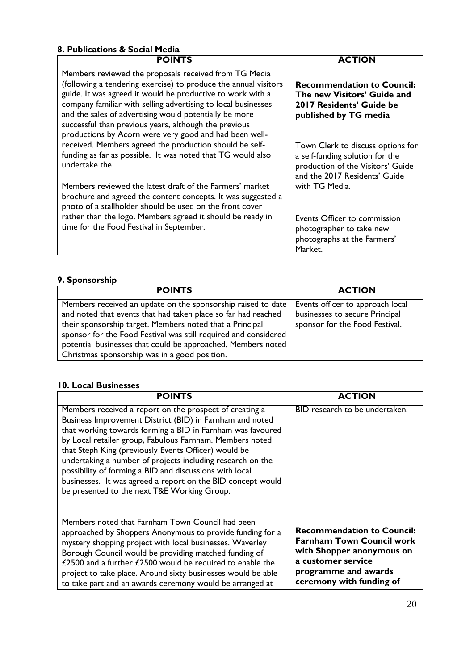#### **8. Publications & Social Media**

| <b>POINTS</b>                                                                                                                                                                                                                                                                                                                                                                                                                        | <b>ACTION</b>                                                                                                                              |
|--------------------------------------------------------------------------------------------------------------------------------------------------------------------------------------------------------------------------------------------------------------------------------------------------------------------------------------------------------------------------------------------------------------------------------------|--------------------------------------------------------------------------------------------------------------------------------------------|
| Members reviewed the proposals received from TG Media<br>(following a tendering exercise) to produce the annual visitors<br>guide. It was agreed it would be productive to work with a<br>company familiar with selling advertising to local businesses<br>and the sales of advertising would potentially be more<br>successful than previous years, although the previous<br>productions by Acorn were very good and had been well- | <b>Recommendation to Council:</b><br>The new Visitors' Guide and<br>2017 Residents' Guide be<br>published by TG media                      |
| received. Members agreed the production should be self-<br>funding as far as possible. It was noted that TG would also<br>undertake the                                                                                                                                                                                                                                                                                              | Town Clerk to discuss options for<br>a self-funding solution for the<br>production of the Visitors' Guide<br>and the 2017 Residents' Guide |
| Members reviewed the latest draft of the Farmers' market<br>brochure and agreed the content concepts. It was suggested a<br>photo of a stallholder should be used on the front cover                                                                                                                                                                                                                                                 | with TG Media.                                                                                                                             |
| rather than the logo. Members agreed it should be ready in<br>time for the Food Festival in September.                                                                                                                                                                                                                                                                                                                               | Events Officer to commission<br>photographer to take new<br>photographs at the Farmers'<br>Market.                                         |

#### **9. Sponsorship**

| <b>POINTS</b>                                                                                                                                                                                                                                                                                                                | <b>ACTION</b>                                                                                        |
|------------------------------------------------------------------------------------------------------------------------------------------------------------------------------------------------------------------------------------------------------------------------------------------------------------------------------|------------------------------------------------------------------------------------------------------|
| Members received an update on the sponsorship raised to date<br>and noted that events that had taken place so far had reached<br>their sponsorship target. Members noted that a Principal<br>sponsor for the Food Festival was still required and considered<br>potential businesses that could be approached. Members noted | Events officer to approach local<br>businesses to secure Principal<br>sponsor for the Food Festival. |
| Christmas sponsorship was in a good position.                                                                                                                                                                                                                                                                                |                                                                                                      |

#### **10. Local Businesses**

| <b>POINTS</b>                                                                                                                                                                                                                                                                                                                                                                                                                                                                                                                                | <b>ACTION</b>                                                                                                                                                                |
|----------------------------------------------------------------------------------------------------------------------------------------------------------------------------------------------------------------------------------------------------------------------------------------------------------------------------------------------------------------------------------------------------------------------------------------------------------------------------------------------------------------------------------------------|------------------------------------------------------------------------------------------------------------------------------------------------------------------------------|
| Members received a report on the prospect of creating a<br>Business Improvement District (BID) in Farnham and noted<br>that working towards forming a BID in Farnham was favoured<br>by Local retailer group, Fabulous Farnham. Members noted<br>that Steph King (previously Events Officer) would be<br>undertaking a number of projects including research on the<br>possibility of forming a BID and discussions with local<br>businesses. It was agreed a report on the BID concept would<br>be presented to the next T&E Working Group. | BID research to be undertaken.                                                                                                                                               |
| Members noted that Farnham Town Council had been<br>approached by Shoppers Anonymous to provide funding for a<br>mystery shopping project with local businesses. Waverley<br>Borough Council would be providing matched funding of<br>£2500 and a further £2500 would be required to enable the<br>project to take place. Around sixty businesses would be able<br>to take part and an awards ceremony would be arranged at                                                                                                                  | <b>Recommendation to Council:</b><br><b>Farnham Town Council work</b><br>with Shopper anonymous on<br>a customer service<br>programme and awards<br>ceremony with funding of |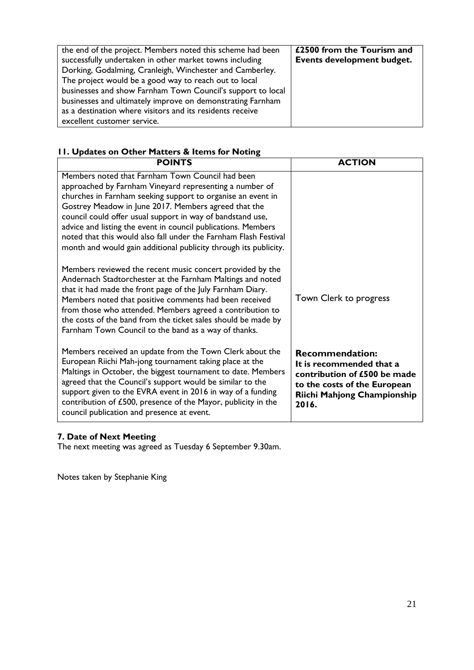| the end of the project. Members noted this scheme had been<br>successfully undertaken in other market towns including<br>Dorking, Godalming, Cranleigh, Winchester and Camberley.<br>The project would be a good way to reach out to local<br>businesses and show Farnham Town Council's support to local<br>businesses and ultimately improve on demonstrating Farnham<br>as a destination where visitors and its residents receive<br>excellent customer service. | £2500 from the Tourism and<br>Events development budget. |
|---------------------------------------------------------------------------------------------------------------------------------------------------------------------------------------------------------------------------------------------------------------------------------------------------------------------------------------------------------------------------------------------------------------------------------------------------------------------|----------------------------------------------------------|
|---------------------------------------------------------------------------------------------------------------------------------------------------------------------------------------------------------------------------------------------------------------------------------------------------------------------------------------------------------------------------------------------------------------------------------------------------------------------|----------------------------------------------------------|

#### **11. Updates on Other Matters & Items for Noting**

| <b>POINTS</b>                                                                                                                                                                                                                                                                                                                                                                                                                                                                                             | <b>ACTION</b>                                                                                                                                              |
|-----------------------------------------------------------------------------------------------------------------------------------------------------------------------------------------------------------------------------------------------------------------------------------------------------------------------------------------------------------------------------------------------------------------------------------------------------------------------------------------------------------|------------------------------------------------------------------------------------------------------------------------------------------------------------|
| Members noted that Farnham Town Council had been<br>approached by Farnham Vineyard representing a number of<br>churches in Farnham seeking support to organise an event in<br>Gostrey Meadow in June 2017. Members agreed that the<br>council could offer usual support in way of bandstand use,<br>advice and listing the event in council publications. Members<br>noted that this would also fall under the Farnham Flash Festival<br>month and would gain additional publicity through its publicity. |                                                                                                                                                            |
| Members reviewed the recent music concert provided by the<br>Andernach Stadtorchester at the Farnham Maltings and noted<br>that it had made the front page of the July Farnham Diary.<br>Members noted that positive comments had been received<br>from those who attended. Members agreed a contribution to<br>the costs of the band from the ticket sales should be made by<br>Farnham Town Council to the band as a way of thanks.                                                                     | Town Clerk to progress                                                                                                                                     |
| Members received an update from the Town Clerk about the<br>European Riichi Mah-jong tournament taking place at the<br>Maltings in October, the biggest tournament to date. Members<br>agreed that the Council's support would be similar to the<br>support given to the EVRA event in 2016 in way of a funding<br>contribution of £500, presence of the Mayor, publicity in the<br>council publication and presence at event.                                                                            | <b>Recommendation:</b><br>It is recommended that a<br>contribution of £500 be made<br>to the costs of the European<br>Riichi Mahjong Championship<br>2016. |

#### **7. Date of Next Meeting**

The next meeting was agreed as Tuesday 6 September 9.30am.

Notes taken by Stephanie King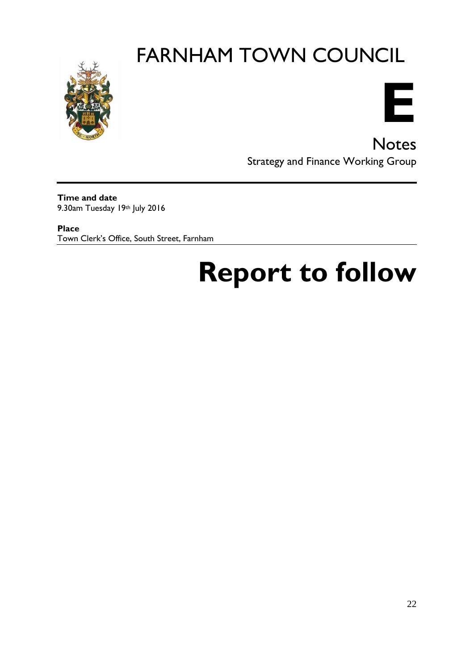



**Notes** Strategy and Finance Working Group

**Time and date** 9.30am Tuesday 19th July 2016

**Place** Town Clerk's Office, South Street, Farnham

## **Report to follow**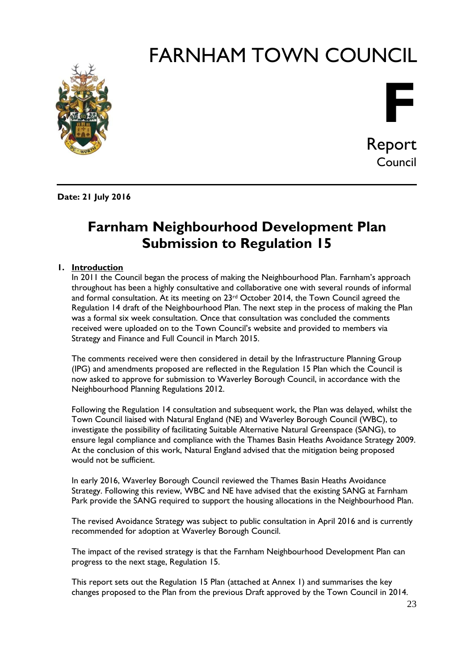



Report Council

**Date: 21 July 2016**

#### **Farnham Neighbourhood Development Plan Submission to Regulation 15**

#### **1. Introduction**

In 2011 the Council began the process of making the Neighbourhood Plan. Farnham's approach throughout has been a highly consultative and collaborative one with several rounds of informal and formal consultation. At its meeting on  $23<sup>rd</sup>$  October 2014, the Town Council agreed the Regulation 14 draft of the Neighbourhood Plan. The next step in the process of making the Plan was a formal six week consultation. Once that consultation was concluded the comments received were uploaded on to the Town Council's website and provided to members via Strategy and Finance and Full Council in March 2015.

The comments received were then considered in detail by the Infrastructure Planning Group (IPG) and amendments proposed are reflected in the Regulation 15 Plan which the Council is now asked to approve for submission to Waverley Borough Council, in accordance with the Neighbourhood Planning Regulations 2012.

Following the Regulation 14 consultation and subsequent work, the Plan was delayed, whilst the Town Council liaised with Natural England (NE) and Waverley Borough Council (WBC), to investigate the possibility of facilitating Suitable Alternative Natural Greenspace (SANG), to ensure legal compliance and compliance with the Thames Basin Heaths Avoidance Strategy 2009. At the conclusion of this work, Natural England advised that the mitigation being proposed would not be sufficient.

In early 2016, Waverley Borough Council reviewed the Thames Basin Heaths Avoidance Strategy. Following this review, WBC and NE have advised that the existing SANG at Farnham Park provide the SANG required to support the housing allocations in the Neighbourhood Plan.

The revised Avoidance Strategy was subject to public consultation in April 2016 and is currently recommended for adoption at Waverley Borough Council.

The impact of the revised strategy is that the Farnham Neighbourhood Development Plan can progress to the next stage, Regulation 15.

This report sets out the Regulation 15 Plan (attached at Annex 1) and summarises the key changes proposed to the Plan from the previous Draft approved by the Town Council in 2014.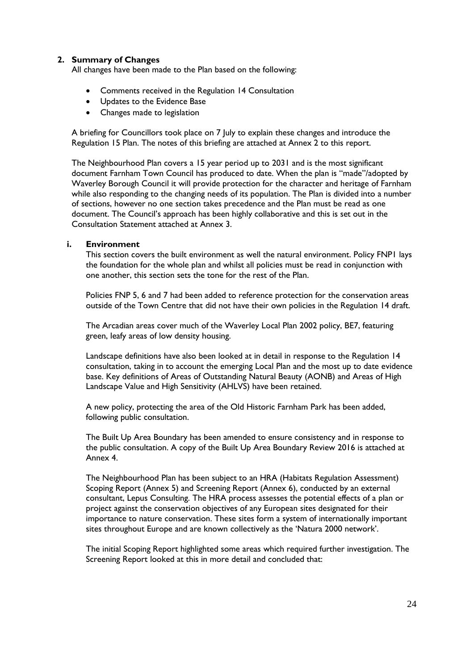#### **2. Summary of Changes**

All changes have been made to the Plan based on the following:

- Comments received in the Regulation 14 Consultation
- Updates to the Evidence Base
- Changes made to legislation

A briefing for Councillors took place on 7 July to explain these changes and introduce the Regulation 15 Plan. The notes of this briefing are attached at Annex 2 to this report.

The Neighbourhood Plan covers a 15 year period up to 2031 and is the most significant document Farnham Town Council has produced to date. When the plan is "made"/adopted by Waverley Borough Council it will provide protection for the character and heritage of Farnham while also responding to the changing needs of its population. The Plan is divided into a number of sections, however no one section takes precedence and the Plan must be read as one document. The Council's approach has been highly collaborative and this is set out in the Consultation Statement attached at Annex 3.

#### **i. Environment**

This section covers the built environment as well the natural environment. Policy FNP1 lays the foundation for the whole plan and whilst all policies must be read in conjunction with one another, this section sets the tone for the rest of the Plan.

Policies FNP 5, 6 and 7 had been added to reference protection for the conservation areas outside of the Town Centre that did not have their own policies in the Regulation 14 draft.

The Arcadian areas cover much of the Waverley Local Plan 2002 policy, BE7, featuring green, leafy areas of low density housing.

Landscape definitions have also been looked at in detail in response to the Regulation 14 consultation, taking in to account the emerging Local Plan and the most up to date evidence base. Key definitions of Areas of Outstanding Natural Beauty (AONB) and Areas of High Landscape Value and High Sensitivity (AHLVS) have been retained.

A new policy, protecting the area of the Old Historic Farnham Park has been added, following public consultation.

The Built Up Area Boundary has been amended to ensure consistency and in response to the public consultation. A copy of the Built Up Area Boundary Review 2016 is attached at Annex 4.

The Neighbourhood Plan has been subject to an HRA (Habitats Regulation Assessment) Scoping Report (Annex 5) and Screening Report (Annex 6), conducted by an external consultant, Lepus Consulting. The HRA process assesses the potential effects of a plan or project against the conservation objectives of any European sites designated for their importance to nature conservation. These sites form a system of internationally important sites throughout Europe and are known collectively as the 'Natura 2000 network'.

The initial Scoping Report highlighted some areas which required further investigation. The Screening Report looked at this in more detail and concluded that: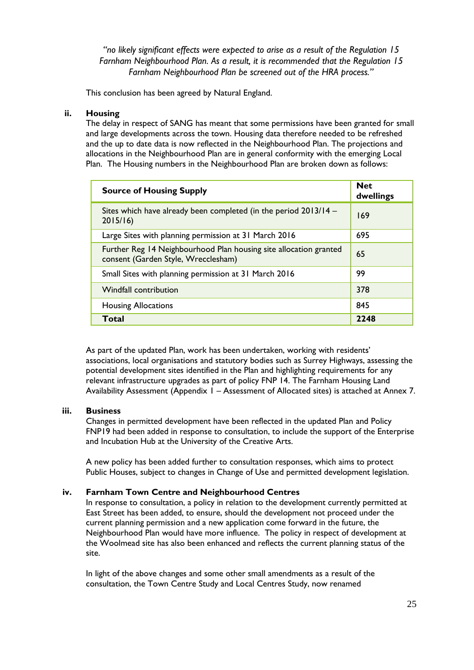*"no likely significant effects were expected to arise as a result of the Regulation 15 Farnham Neighbourhood Plan. As a result, it is recommended that the Regulation 15 Farnham Neighbourhood Plan be screened out of the HRA process."*

This conclusion has been agreed by Natural England.

#### **ii. Housing**

The delay in respect of SANG has meant that some permissions have been granted for small and large developments across the town. Housing data therefore needed to be refreshed and the up to date data is now reflected in the Neighbourhood Plan. The projections and allocations in the Neighbourhood Plan are in general conformity with the emerging Local Plan. The Housing numbers in the Neighbourhood Plan are broken down as follows:

| <b>Source of Housing Supply</b>                                                                          | <b>Net</b><br>dwellings |
|----------------------------------------------------------------------------------------------------------|-------------------------|
| Sites which have already been completed (in the period 2013/14 –<br>2015/16                              | 169                     |
| Large Sites with planning permission at 31 March 2016                                                    | 695                     |
| Further Reg 14 Neighbourhood Plan housing site allocation granted<br>consent (Garden Style, Wrecclesham) | 65                      |
| Small Sites with planning permission at 31 March 2016                                                    | 99                      |
| <b>Windfall contribution</b>                                                                             | 378                     |
| <b>Housing Allocations</b>                                                                               | 845                     |
| Total                                                                                                    | 2248                    |

As part of the updated Plan, work has been undertaken, working with residents' associations, local organisations and statutory bodies such as Surrey Highways, assessing the potential development sites identified in the Plan and highlighting requirements for any relevant infrastructure upgrades as part of policy FNP 14. The Farnham Housing Land Availability Assessment (Appendix 1 – Assessment of Allocated sites) is attached at Annex 7.

#### **iii. Business**

Changes in permitted development have been reflected in the updated Plan and Policy FNP19 had been added in response to consultation, to include the support of the Enterprise and Incubation Hub at the University of the Creative Arts.

A new policy has been added further to consultation responses, which aims to protect Public Houses, subject to changes in Change of Use and permitted development legislation.

#### **iv. Farnham Town Centre and Neighbourhood Centres**

In response to consultation, a policy in relation to the development currently permitted at East Street has been added, to ensure, should the development not proceed under the current planning permission and a new application come forward in the future, the Neighbourhood Plan would have more influence. The policy in respect of development at the Woolmead site has also been enhanced and reflects the current planning status of the site.

In light of the above changes and some other small amendments as a result of the consultation, the Town Centre Study and Local Centres Study, now renamed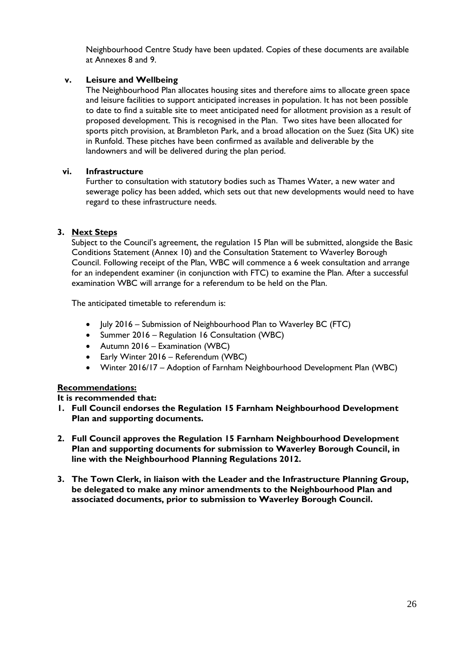Neighbourhood Centre Study have been updated. Copies of these documents are available at Annexes 8 and 9.

#### **v. Leisure and Wellbeing**

The Neighbourhood Plan allocates housing sites and therefore aims to allocate green space and leisure facilities to support anticipated increases in population. It has not been possible to date to find a suitable site to meet anticipated need for allotment provision as a result of proposed development. This is recognised in the Plan. Two sites have been allocated for sports pitch provision, at Brambleton Park, and a broad allocation on the Suez (Sita UK) site in Runfold. These pitches have been confirmed as available and deliverable by the landowners and will be delivered during the plan period.

#### **vi. Infrastructure**

Further to consultation with statutory bodies such as Thames Water, a new water and sewerage policy has been added, which sets out that new developments would need to have regard to these infrastructure needs.

#### **3. Next Steps**

Subject to the Council's agreement, the regulation 15 Plan will be submitted, alongside the Basic Conditions Statement (Annex 10) and the Consultation Statement to Waverley Borough Council. Following receipt of the Plan, WBC will commence a 6 week consultation and arrange for an independent examiner (in conjunction with FTC) to examine the Plan. After a successful examination WBC will arrange for a referendum to be held on the Plan.

The anticipated timetable to referendum is:

- July 2016 Submission of Neighbourhood Plan to Waverley BC (FTC)
- Summer 2016 Regulation 16 Consultation (WBC)
- Autumn 2016 Examination (WBC)
- Early Winter 2016 Referendum (WBC)
- Winter 2016/17 Adoption of Farnham Neighbourhood Development Plan (WBC)

#### **Recommendations:**

**It is recommended that:**

- **1. Full Council endorses the Regulation 15 Farnham Neighbourhood Development Plan and supporting documents.**
- **2. Full Council approves the Regulation 15 Farnham Neighbourhood Development Plan and supporting documents for submission to Waverley Borough Council, in line with the Neighbourhood Planning Regulations 2012.**
- **3. The Town Clerk, in liaison with the Leader and the Infrastructure Planning Group, be delegated to make any minor amendments to the Neighbourhood Plan and associated documents, prior to submission to Waverley Borough Council.**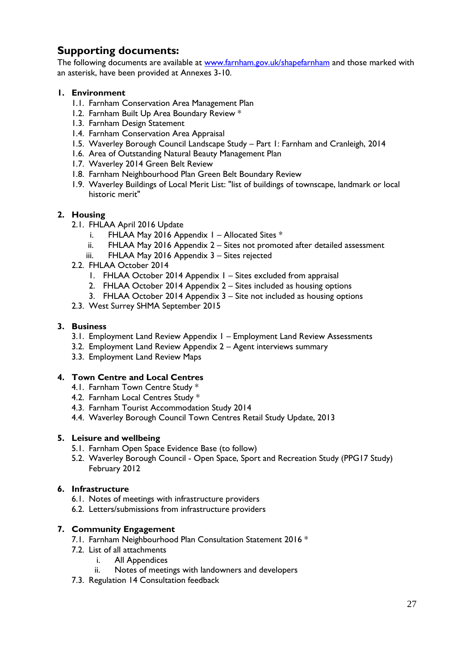#### **Supporting documents:**

The following documents are available at [www.farnham.gov.uk/shapefarnham](http://www.farnham.gov.uk/shapefarnham) and those marked with an asterisk, have been provided at Annexes 3-10.

#### **1. Environment**

- 1.1. Farnham Conservation Area Management Plan
- 1.2. Farnham Built Up Area Boundary Review \*
- 1.3. Farnham Design Statement
- 1.4. Farnham Conservation Area Appraisal
- 1.5. Waverley Borough Council Landscape Study Part 1: Farnham and Cranleigh, 2014
- 1.6. Area of Outstanding Natural Beauty Management Plan
- 1.7. Waverley 2014 Green Belt Review
- 1.8. Farnham Neighbourhood Plan Green Belt Boundary Review
- 1.9. Waverley Buildings of Local Merit List: "list of buildings of townscape, landmark or local historic merit"

#### **2. Housing**

- 2.1. FHLAA April 2016 Update
	- i. FHLAA May 2016 Appendix  $I -$  Allocated Sites  $*$
	- ii. FHLAA May 2016 Appendix 2 Sites not promoted after detailed assessment
	- iii. FHLAA May 2016 Appendix 3 Sites rejected
- 2.2. FHLAA October 2014
	- 1. FHLAA October 2014 Appendix 1 Sites excluded from appraisal
	- 2. FHLAA October 2014 Appendix 2 Sites included as housing options
	- 3. FHLAA October 2014 Appendix 3 Site not included as housing options
- 2.3. West Surrey SHMA September 2015

#### **3. Business**

- 3.1. Employment Land Review Appendix 1 Employment Land Review Assessments
- 3.2. Employment Land Review Appendix 2 Agent interviews summary
- 3.3. Employment Land Review Maps

#### **4. Town Centre and Local Centres**

- 4.1. Farnham Town Centre Study \*
- 4.2. Farnham Local Centres Study \*
- 4.3. Farnham Tourist Accommodation Study 2014
- 4.4. Waverley Borough Council Town Centres Retail Study Update, 2013

#### **5. Leisure and wellbeing**

- 5.1. Farnham Open Space Evidence Base (to follow)
- 5.2. Waverley Borough Council Open Space, Sport and Recreation Study (PPG17 Study) February 2012

#### **6. Infrastructure**

- 6.1. Notes of meetings with infrastructure providers
- 6.2. Letters/submissions from infrastructure providers

#### **7. Community Engagement**

- 7.1. Farnham Neighbourhood Plan Consultation Statement 2016 \*
- 7.2. List of all attachments
	- i. All Appendices
	- ii. Notes of meetings with landowners and developers
- 7.3. Regulation 14 Consultation feedback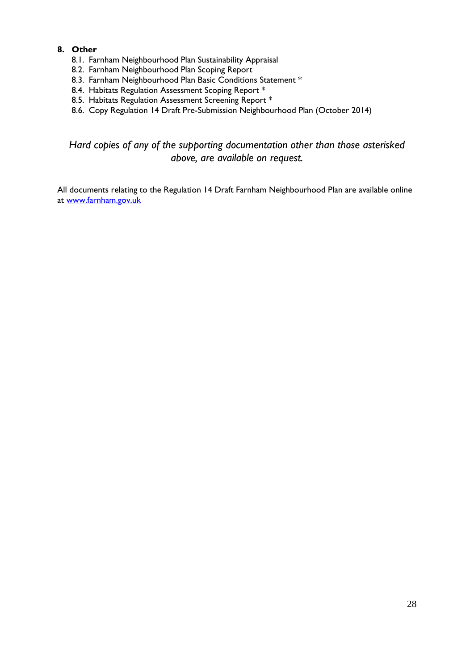#### **8. Other**

- 8.1. Farnham Neighbourhood Plan Sustainability Appraisal
- 8.2. Farnham Neighbourhood Plan Scoping Report
- 8.3. Farnham Neighbourhood Plan Basic Conditions Statement \*
- 8.4. Habitats Regulation Assessment Scoping Report \*
- 8.5. Habitats Regulation Assessment Screening Report \*
- 8.6. Copy Regulation 14 Draft Pre-Submission Neighbourhood Plan (October 2014)

*Hard copies of any of the supporting documentation other than those asterisked above, are available on request.*

All documents relating to the Regulation 14 Draft Farnham Neighbourhood Plan are available online at [www.farnham.gov.uk](http://www.farnham.gov.uk/)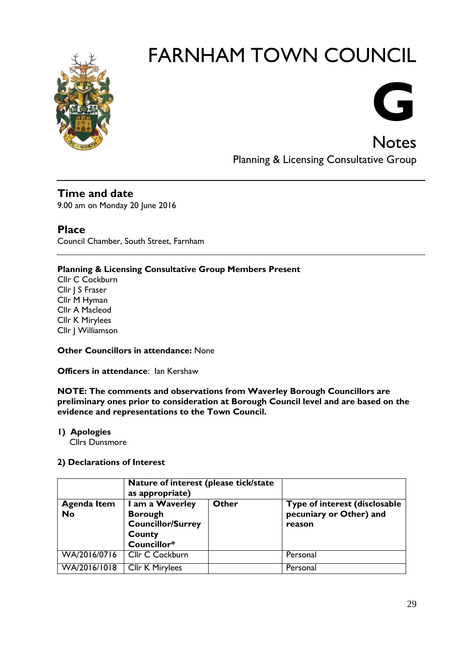



Planning & Licensing Consultative Group

#### **Time and date**

9.00 am on Monday 20 June 2016

#### **Place**

Council Chamber, South Street, Farnham

#### **Planning & Licensing Consultative Group Members Present**

Cllr C Cockburn Cllr | S Fraser Cllr M Hyman Cllr A Macleod Cllr K Mirylees Cllr J Williamson

#### **Other Councillors in attendance:** None

**Officers in attendance: Ian Kershaw** 

**NOTE: The comments and observations from Waverley Borough Councillors are preliminary ones prior to consideration at Borough Council level and are based on the evidence and representations to the Town Council.**

**1) Apologies** 

Cllrs Dunsmore

#### **2) Declarations of Interest**

|                          | Nature of interest (please tick/state<br>as appropriate)                               |       |                                                                    |
|--------------------------|----------------------------------------------------------------------------------------|-------|--------------------------------------------------------------------|
| <b>Agenda Item</b><br>No | I am a Waverley<br><b>Borough</b><br><b>Councillor/Surrey</b><br>County<br>Councillor* | Other | Type of interest (disclosable<br>pecuniary or Other) and<br>reason |
| WA/2016/0716             | Cllr C Cockburn                                                                        |       | Personal                                                           |
| WA/2016/1018             | <b>Cllr K Mirylees</b>                                                                 |       | Personal                                                           |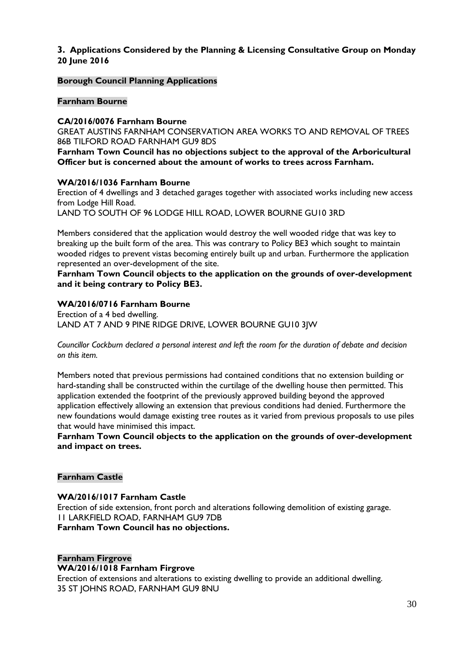#### **3. Applications Considered by the Planning & Licensing Consultative Group on Monday 20 June 2016**

#### **Borough Council Planning Applications**

#### **Farnham Bourne**

#### **CA/2016/0076 Farnham Bourne**

GREAT AUSTINS FARNHAM CONSERVATION AREA WORKS TO AND REMOVAL OF TREES 86B TILFORD ROAD FARNHAM GU9 8DS

**Farnham Town Council has no objections subject to the approval of the Arboricultural Officer but is concerned about the amount of works to trees across Farnham.**

#### **WA/2016/1036 Farnham Bourne**

Erection of 4 dwellings and 3 detached garages together with associated works including new access from Lodge Hill Road.

LAND TO SOUTH OF 96 LODGE HILL ROAD, LOWER BOURNE GU10 3RD

Members considered that the application would destroy the well wooded ridge that was key to breaking up the built form of the area. This was contrary to Policy BE3 which sought to maintain wooded ridges to prevent vistas becoming entirely built up and urban. Furthermore the application represented an over-development of the site.

**Farnham Town Council objects to the application on the grounds of over-development and it being contrary to Policy BE3.**

#### **WA/2016/0716 Farnham Bourne**

Erection of a 4 bed dwelling. LAND AT 7 AND 9 PINE RIDGE DRIVE, LOWER BOURNE GU10 3JW

*Councillor Cockburn declared a personal interest and left the room for the duration of debate and decision on this item.*

Members noted that previous permissions had contained conditions that no extension building or hard-standing shall be constructed within the curtilage of the dwelling house then permitted. This application extended the footprint of the previously approved building beyond the approved application effectively allowing an extension that previous conditions had denied. Furthermore the new foundations would damage existing tree routes as it varied from previous proposals to use piles that would have minimised this impact.

**Farnham Town Council objects to the application on the grounds of over-development and impact on trees.**

#### **Farnham Castle**

#### **WA/2016/1017 Farnham Castle**

Erection of side extension, front porch and alterations following demolition of existing garage. 11 LARKFIELD ROAD, FARNHAM GU9 7DB **Farnham Town Council has no objections.**

#### **Farnham Firgrove**

#### **WA/2016/1018 Farnham Firgrove**

Erection of extensions and alterations to existing dwelling to provide an additional dwelling. 35 ST JOHNS ROAD, FARNHAM GU9 8NU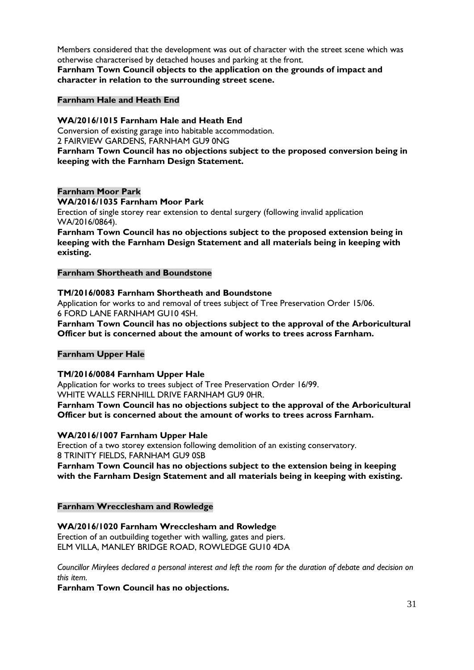Members considered that the development was out of character with the street scene which was otherwise characterised by detached houses and parking at the front.

**Farnham Town Council objects to the application on the grounds of impact and character in relation to the surrounding street scene.**

#### **Farnham Hale and Heath End**

#### **WA/2016/1015 Farnham Hale and Heath End**

Conversion of existing garage into habitable accommodation. 2 FAIRVIEW GARDENS, FARNHAM GU9 0NG

#### **Farnham Town Council has no objections subject to the proposed conversion being in keeping with the Farnham Design Statement.**

#### **Farnham Moor Park**

#### **WA/2016/1035 Farnham Moor Park**

Erection of single storey rear extension to dental surgery (following invalid application WA/2016/0864).

**Farnham Town Council has no objections subject to the proposed extension being in keeping with the Farnham Design Statement and all materials being in keeping with existing.**

#### **Farnham Shortheath and Boundstone**

#### **TM/2016/0083 Farnham Shortheath and Boundstone**

Application for works to and removal of trees subject of Tree Preservation Order 15/06. 6 FORD LANE FARNHAM GU10 4SH.

**Farnham Town Council has no objections subject to the approval of the Arboricultural Officer but is concerned about the amount of works to trees across Farnham.**

#### **Farnham Upper Hale**

#### **TM/2016/0084 Farnham Upper Hale**

Application for works to trees subject of Tree Preservation Order 16/99. WHITE WALLS FERNHILL DRIVE FARNHAM GU9 0HR.

**Farnham Town Council has no objections subject to the approval of the Arboricultural Officer but is concerned about the amount of works to trees across Farnham.**

#### **WA/2016/1007 Farnham Upper Hale**

Erection of a two storey extension following demolition of an existing conservatory. 8 TRINITY FIELDS, FARNHAM GU9 0SB

**Farnham Town Council has no objections subject to the extension being in keeping with the Farnham Design Statement and all materials being in keeping with existing.**

#### **Farnham Wrecclesham and Rowledge**

#### **WA/2016/1020 Farnham Wrecclesham and Rowledge**

Erection of an outbuilding together with walling, gates and piers. ELM VILLA, MANLEY BRIDGE ROAD, ROWLEDGE GU10 4DA

*Councillor Mirylees declared a personal interest and left the room for the duration of debate and decision on this item.*

**Farnham Town Council has no objections.**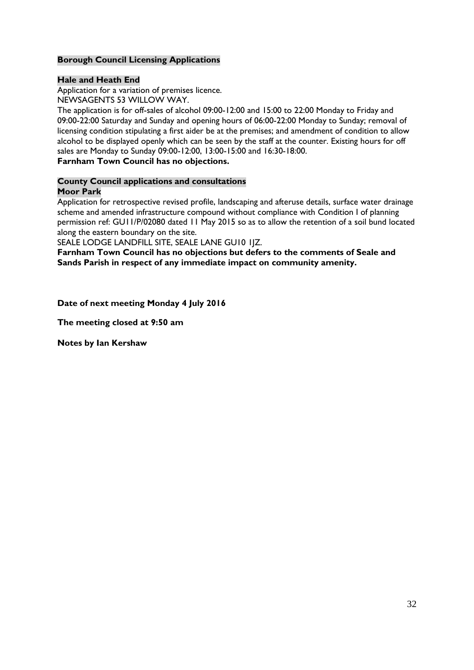#### **Borough Council Licensing Applications**

#### **Hale and Heath End**

Application for a variation of premises licence. NEWSAGENTS 53 WILLOW WAY.

The application is for off-sales of alcohol 09:00-12:00 and 15:00 to 22:00 Monday to Friday and 09:00-22:00 Saturday and Sunday and opening hours of 06:00-22:00 Monday to Sunday; removal of licensing condition stipulating a first aider be at the premises; and amendment of condition to allow alcohol to be displayed openly which can be seen by the staff at the counter. Existing hours for off sales are Monday to Sunday 09:00-12:00, 13:00-15:00 and 16:30-18:00.

#### **Farnham Town Council has no objections.**

#### **County Council applications and consultations Moor Park**

Application for retrospective revised profile, landscaping and afteruse details, surface water drainage scheme and amended infrastructure compound without compliance with Condition I of planning permission ref: GU11/P/02080 dated 11 May 2015 so as to allow the retention of a soil bund located along the eastern boundary on the site.

SEALE LODGE LANDFILL SITE, SEALE LANE GU10 1JZ.

**Farnham Town Council has no objections but defers to the comments of Seale and Sands Parish in respect of any immediate impact on community amenity.**

**Date of next meeting Monday 4 July 2016** 

**The meeting closed at 9:50 am**

**Notes by Ian Kershaw**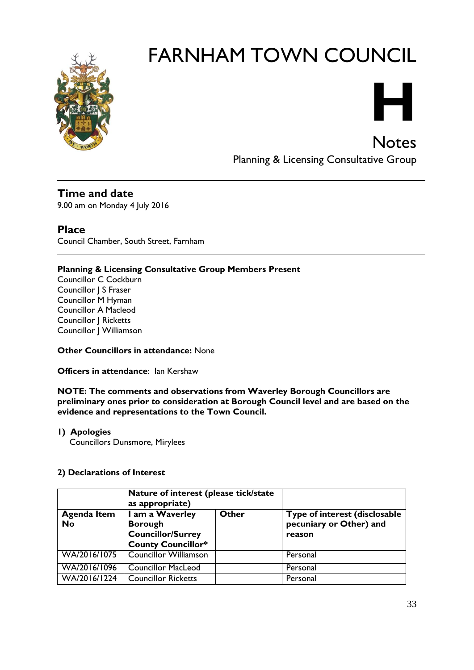

## **H**

Notes

Planning & Licensing Consultative Group

**Time and date** 9.00 am on Monday 4 July 2016

#### **Place**

Council Chamber, South Street, Farnham

#### **Planning & Licensing Consultative Group Members Present**

Councillor C Cockburn Councillor | S Fraser Councillor M Hyman Councillor A Macleod Councillor J Ricketts Councillor J Williamson

#### **Other Councillors in attendance:** None

**Officers in attendance: Ian Kershaw** 

**NOTE: The comments and observations from Waverley Borough Councillors are preliminary ones prior to consideration at Borough Council level and are based on the evidence and representations to the Town Council.**

#### **1) Apologies**

Councillors Dunsmore, Mirylees

#### **2) Declarations of Interest**

|                                 | Nature of interest (please tick/state<br>as appropriate)                                   |       |                                                                    |
|---------------------------------|--------------------------------------------------------------------------------------------|-------|--------------------------------------------------------------------|
| <b>Agenda Item</b><br><b>No</b> | I am a Waverley<br><b>Borough</b><br><b>Councillor/Surrey</b><br><b>County Councillor*</b> | Other | Type of interest (disclosable<br>pecuniary or Other) and<br>reason |
| WA/2016/1075                    | <b>Councillor Williamson</b>                                                               |       | Personal                                                           |
| WA/2016/1096                    | <b>Councillor MacLeod</b>                                                                  |       | Personal                                                           |
| WA/2016/1224                    | <b>Councillor Ricketts</b>                                                                 |       | Personal                                                           |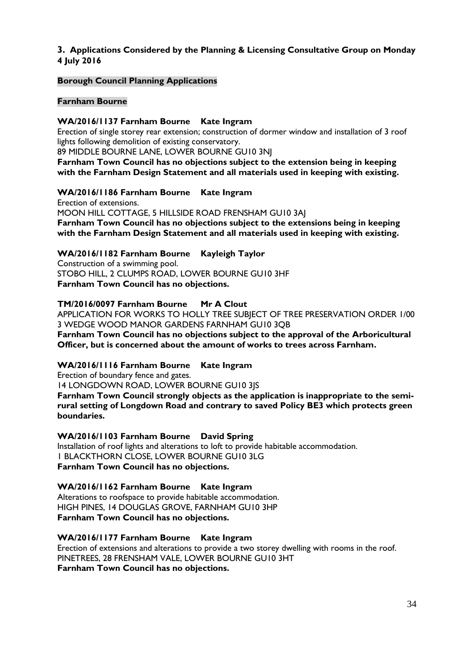#### **3. Applications Considered by the Planning & Licensing Consultative Group on Monday 4 July 2016**

#### **Borough Council Planning Applications**

#### **Farnham Bourne**

#### **WA/2016/1137 Farnham Bourne Kate Ingram**

Erection of single storey rear extension; construction of dormer window and installation of 3 roof lights following demolition of existing conservatory.

89 MIDDLE BOURNE LANE, LOWER BOURNE GU10 3NJ

**Farnham Town Council has no objections subject to the extension being in keeping with the Farnham Design Statement and all materials used in keeping with existing.**

#### **WA/2016/1186 Farnham Bourne Kate Ingram**

Erection of extensions. MOON HILL COTTAGE, 5 HILLSIDE ROAD FRENSHAM GU10 3AJ **Farnham Town Council has no objections subject to the extensions being in keeping with the Farnham Design Statement and all materials used in keeping with existing.**

#### **WA/2016/1182 Farnham Bourne Kayleigh Taylor**

Construction of a swimming pool. STOBO HILL, 2 CLUMPS ROAD, LOWER BOURNE GU10 3HF **Farnham Town Council has no objections.**

#### **TM/2016/0097 Farnham Bourne Mr A Clout**

APPLICATION FOR WORKS TO HOLLY TREE SUBJECT OF TREE PRESERVATION ORDER 1/00 3 WEDGE WOOD MANOR GARDENS FARNHAM GU10 3QB

**Farnham Town Council has no objections subject to the approval of the Arboricultural Officer, but is concerned about the amount of works to trees across Farnham.**

#### **WA/2016/1116 Farnham Bourne Kate Ingram**

Erection of boundary fence and gates.

14 LONGDOWN ROAD, LOWER BOURNE GU10 3JS

**Farnham Town Council strongly objects as the application is inappropriate to the semirural setting of Longdown Road and contrary to saved Policy BE3 which protects green boundaries.**

#### **WA/2016/1103 Farnham Bourne David Spring**

Installation of roof lights and alterations to loft to provide habitable accommodation. 1 BLACKTHORN CLOSE, LOWER BOURNE GU10 3LG **Farnham Town Council has no objections.**

#### **WA/2016/1162 Farnham Bourne Kate Ingram**

Alterations to roofspace to provide habitable accommodation. HIGH PINES, 14 DOUGLAS GROVE, FARNHAM GU10 3HP **Farnham Town Council has no objections.**

**WA/2016/1177 Farnham Bourne Kate Ingram** Erection of extensions and alterations to provide a two storey dwelling with rooms in the roof. PINETREES, 28 FRENSHAM VALE, LOWER BOURNE GU10 3HT **Farnham Town Council has no objections.**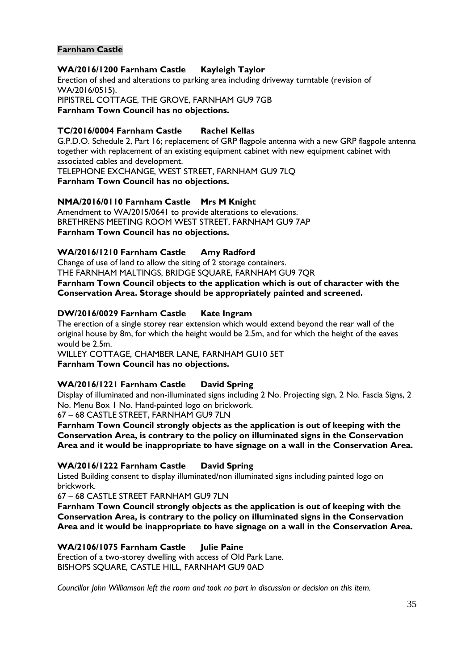#### **Farnham Castle**

#### **WA/2016/1200 Farnham Castle Kayleigh Taylor**

Erection of shed and alterations to parking area including driveway turntable (revision of WA/2016/0515). PIPISTREL COTTAGE, THE GROVE, FARNHAM GU9 7GB **Farnham Town Council has no objections.**

#### **TC/2016/0004 Farnham Castle Rachel Kellas**

G.P.D.O. Schedule 2, Part 16; replacement of GRP flagpole antenna with a new GRP flagpole antenna together with replacement of an existing equipment cabinet with new equipment cabinet with associated cables and development. TELEPHONE EXCHANGE, WEST STREET, FARNHAM GU9 7LQ

**Farnham Town Council has no objections.**

#### **NMA/2016/0110 Farnham Castle Mrs M Knight**

Amendment to WA/2015/0641 to provide alterations to elevations. BRETHRENS MEETING ROOM WEST STREET, FARNHAM GU9 7AP **Farnham Town Council has no objections.**

#### **WA/2016/1210 Farnham Castle Amy Radford**

Change of use of land to allow the siting of 2 storage containers. THE FARNHAM MALTINGS, BRIDGE SQUARE, FARNHAM GU9 7QR **Farnham Town Council objects to the application which is out of character with the Conservation Area. Storage should be appropriately painted and screened.**

#### **DW/2016/0029 Farnham Castle Kate Ingram**

The erection of a single storey rear extension which would extend beyond the rear wall of the original house by 8m, for which the height would be 2.5m, and for which the height of the eaves would be 2.5m.

WILLEY COTTAGE, CHAMBER LANE, FARNHAM GU10 5ET

**Farnham Town Council has no objections.**

#### **WA/2016/1221 Farnham Castle David Spring**

Display of illuminated and non-illuminated signs including 2 No. Projecting sign, 2 No. Fascia Signs, 2 No. Menu Box 1 No. Hand-painted logo on brickwork.

67 – 68 CASTLE STREET, FARNHAM GU9 7LN

**Farnham Town Council strongly objects as the application is out of keeping with the Conservation Area, is contrary to the policy on illuminated signs in the Conservation Area and it would be inappropriate to have signage on a wall in the Conservation Area.**

#### **WA/2016/1222 Farnham Castle David Spring**

Listed Building consent to display illuminated/non illuminated signs including painted logo on brickwork.

67 – 68 CASTLE STREET FARNHAM GU9 7LN

**Farnham Town Council strongly objects as the application is out of keeping with the Conservation Area, is contrary to the policy on illuminated signs in the Conservation Area and it would be inappropriate to have signage on a wall in the Conservation Area.**

**WA/2106/1075 Farnham Castle Julie Paine** Erection of a two-storey dwelling with access of Old Park Lane. BISHOPS SQUARE, CASTLE HILL, FARNHAM GU9 0AD

*Councillor John Williamson left the room and took no part in discussion or decision on this item.*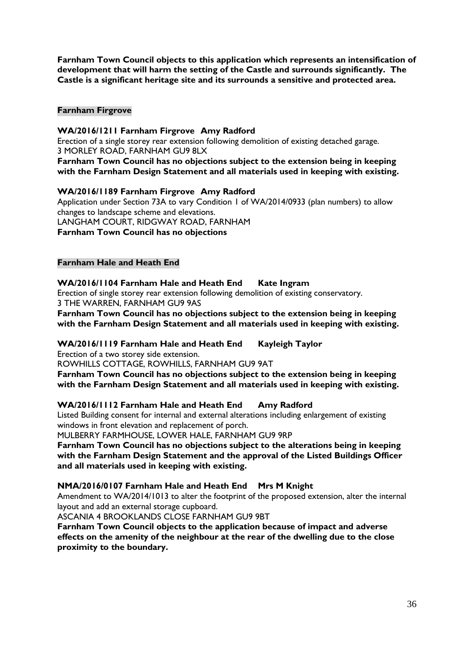**Farnham Town Council objects to this application which represents an intensification of development that will harm the setting of the Castle and surrounds significantly. The Castle is a significant heritage site and its surrounds a sensitive and protected area.**

#### **Farnham Firgrove**

#### **WA/2016/1211 Farnham Firgrove Amy Radford**

Erection of a single storey rear extension following demolition of existing detached garage. 3 MORLEY ROAD, FARNHAM GU9 8LX

**Farnham Town Council has no objections subject to the extension being in keeping with the Farnham Design Statement and all materials used in keeping with existing.**

#### **WA/2016/1189 Farnham Firgrove Amy Radford**

Application under Section 73A to vary Condition 1 of WA/2014/0933 (plan numbers) to allow changes to landscape scheme and elevations. LANGHAM COURT, RIDGWAY ROAD, FARNHAM

#### **Farnham Town Council has no objections**

#### **Farnham Hale and Heath End**

#### **WA/2016/1104 Farnham Hale and Heath End Kate Ingram**

Erection of single storey rear extension following demolition of existing conservatory. 3 THE WARREN, FARNHAM GU9 9AS

**Farnham Town Council has no objections subject to the extension being in keeping with the Farnham Design Statement and all materials used in keeping with existing.**

**WA/2016/1119 Farnham Hale and Heath End Kayleigh Taylor**

Erection of a two storey side extension.

ROWHILLS COTTAGE, ROWHILLS, FARNHAM GU9 9AT

**Farnham Town Council has no objections subject to the extension being in keeping with the Farnham Design Statement and all materials used in keeping with existing.**

#### **WA/2016/1112 Farnham Hale and Heath End Amy Radford**

Listed Building consent for internal and external alterations including enlargement of existing windows in front elevation and replacement of porch.

MULBERRY FARMHOUSE, LOWER HALE, FARNHAM GU9 9RP

**Farnham Town Council has no objections subject to the alterations being in keeping with the Farnham Design Statement and the approval of the Listed Buildings Officer and all materials used in keeping with existing.**

#### **NMA/2016/0107 Farnham Hale and Heath End Mrs M Knight**

Amendment to WA/2014/1013 to alter the footprint of the proposed extension, alter the internal layout and add an external storage cupboard.

ASCANIA 4 BROOKLANDS CLOSE FARNHAM GU9 9BT

**Farnham Town Council objects to the application because of impact and adverse effects on the amenity of the neighbour at the rear of the dwelling due to the close proximity to the boundary.**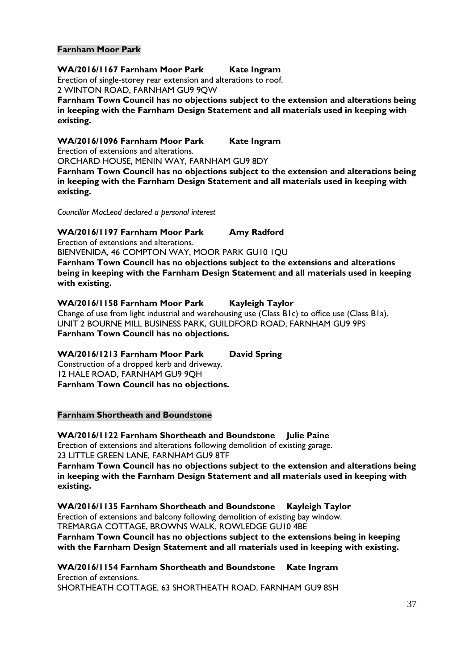#### **Farnham Moor Park**

#### **WA/2016/1167 Farnham Moor Park Kate Ingram**

Erection of single-storey rear extension and alterations to roof. 2 WINTON ROAD, FARNHAM GU9 9QW

**Farnham Town Council has no objections subject to the extension and alterations being in keeping with the Farnham Design Statement and all materials used in keeping with existing.**

**WA/2016/1096 Farnham Moor Park Kate Ingram**

Erection of extensions and alterations.

ORCHARD HOUSE, MENIN WAY, FARNHAM GU9 8DY

**Farnham Town Council has no objections subject to the extension and alterations being in keeping with the Farnham Design Statement and all materials used in keeping with existing.**

*Councillor MacLeod declared a personal interest*

**WA/2016/1197 Farnham Moor Park Amy Radford**

Erection of extensions and alterations.

BIENVENIDA, 46 COMPTON WAY, MOOR PARK GU10 1QU

**Farnham Town Council has no objections subject to the extensions and alterations being in keeping with the Farnham Design Statement and all materials used in keeping with existing.**

#### **WA/2016/1158 Farnham Moor Park Kayleigh Taylor**

Change of use from light industrial and warehousing use (Class B1c) to office use (Class B1a). UNIT 2 BOURNE MILL BUSINESS PARK, GUILDFORD ROAD, FARNHAM GU9 9PS **Farnham Town Council has no objections.**

#### **WA/2016/1213 Farnham Moor Park David Spring**

Construction of a dropped kerb and driveway. 12 HALE ROAD, FARNHAM GU9 9QH **Farnham Town Council has no objections.**

#### **Farnham Shortheath and Boundstone**

**WA/2016/1122 Farnham Shortheath and Boundstone Julie Paine**

Erection of extensions and alterations following demolition of existing garage. 23 LITTLE GREEN LANE, FARNHAM GU9 8TF

**Farnham Town Council has no objections subject to the extension and alterations being in keeping with the Farnham Design Statement and all materials used in keeping with existing.**

**WA/2016/1135 Farnham Shortheath and Boundstone Kayleigh Taylor** Erection of extensions and balcony following demolition of existing bay window. TREMARGA COTTAGE, BROWNS WALK, ROWLEDGE GU10 4BE **Farnham Town Council has no objections subject to the extensions being in keeping with the Farnham Design Statement and all materials used in keeping with existing.**

**WA/2016/1154 Farnham Shortheath and Boundstone Kate Ingram** Erection of extensions. SHORTHEATH COTTAGE, 63 SHORTHEATH ROAD, FARNHAM GU9 8SH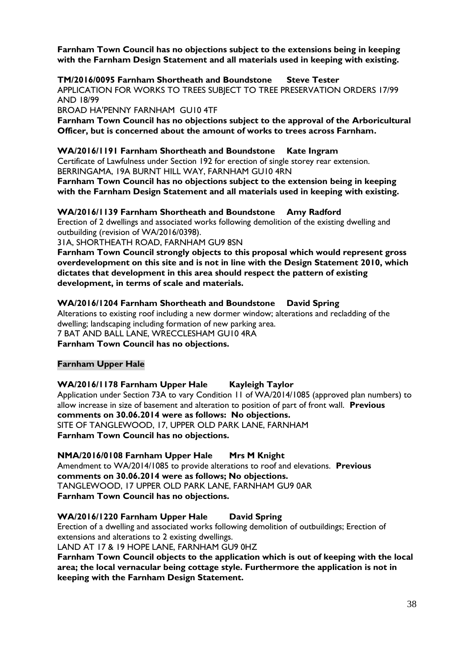**Farnham Town Council has no objections subject to the extensions being in keeping with the Farnham Design Statement and all materials used in keeping with existing.**

**TM/2016/0095 Farnham Shortheath and Boundstone Steve Tester**

APPLICATION FOR WORKS TO TREES SUBJECT TO TREE PRESERVATION ORDERS 17/99 AND 18/99

BROAD HA'PENNY FARNHAM GU10 4TF

**Farnham Town Council has no objections subject to the approval of the Arboricultural Officer, but is concerned about the amount of works to trees across Farnham.**

#### **WA/2016/1191 Farnham Shortheath and Boundstone Kate Ingram**

Certificate of Lawfulness under Section 192 for erection of single storey rear extension. BERRINGAMA, 19A BURNT HILL WAY, FARNHAM GU10 4RN

**Farnham Town Council has no objections subject to the extension being in keeping with the Farnham Design Statement and all materials used in keeping with existing.**

**WA/2016/1139 Farnham Shortheath and Boundstone Amy Radford**

Erection of 2 dwellings and associated works following demolition of the existing dwelling and outbuilding (revision of WA/2016/0398).

31A, SHORTHEATH ROAD, FARNHAM GU9 8SN

**Farnham Town Council strongly objects to this proposal which would represent gross overdevelopment on this site and is not in line with the Design Statement 2010, which dictates that development in this area should respect the pattern of existing development, in terms of scale and materials.**

#### **WA/2016/1204 Farnham Shortheath and Boundstone David Spring**

Alterations to existing roof including a new dormer window; alterations and recladding of the dwelling; landscaping including formation of new parking area. 7 BAT AND BALL LANE, WRECCLESHAM GU10 4RA **Farnham Town Council has no objections.**

#### **Farnham Upper Hale**

#### **WA/2016/1178 Farnham Upper Hale Kayleigh Taylor**

Application under Section 73A to vary Condition 11 of WA/2014/1085 (approved plan numbers) to allow increase in size of basement and alteration to position of part of front wall. **Previous comments on 30.06.2014 were as follows: No objections.** SITE OF TANGLEWOOD, 17, UPPER OLD PARK LANE, FARNHAM **Farnham Town Council has no objections.**

#### **NMA/2016/0108 Farnham Upper Hale Mrs M Knight**

Amendment to WA/2014/1085 to provide alterations to roof and elevations. **Previous comments on 30.06.2014 were as follows; No objections.** TANGLEWOOD, 17 UPPER OLD PARK LANE, FARNHAM GU9 0AR **Farnham Town Council has no objections.**

#### **WA/2016/1220 Farnham Upper Hale David Spring**

Erection of a dwelling and associated works following demolition of outbuildings; Erection of extensions and alterations to 2 existing dwellings.

LAND AT 17 & 19 HOPE LANE, FARNHAM GU9 0HZ

**Farnham Town Council objects to the application which is out of keeping with the local area; the local vernacular being cottage style. Furthermore the application is not in keeping with the Farnham Design Statement.**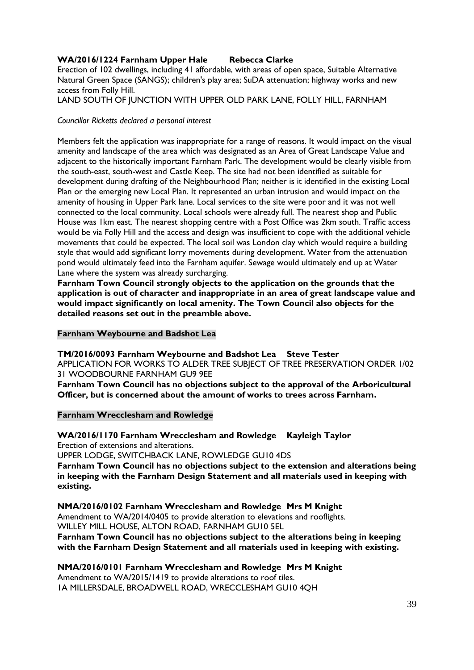#### **WA/2016/1224 Farnham Upper Hale Rebecca Clarke**

Erection of 102 dwellings, including 41 affordable, with areas of open space, Suitable Alternative Natural Green Space (SANGS); children's play area; SuDA attenuation; highway works and new access from Folly Hill.

LAND SOUTH OF JUNCTION WITH UPPER OLD PARK LANE, FOLLY HILL, FARNHAM

#### *Councillor Ricketts declared a personal interest*

Members felt the application was inappropriate for a range of reasons. It would impact on the visual amenity and landscape of the area which was designated as an Area of Great Landscape Value and adjacent to the historically important Farnham Park. The development would be clearly visible from the south-east, south-west and Castle Keep. The site had not been identified as suitable for development during drafting of the Neighbourhood Plan; neither is it identified in the existing Local Plan or the emerging new Local Plan. It represented an urban intrusion and would impact on the amenity of housing in Upper Park lane. Local services to the site were poor and it was not well connected to the local community. Local schools were already full. The nearest shop and Public House was 1km east. The nearest shopping centre with a Post Office was 2km south. Traffic access would be via Folly Hill and the access and design was insufficient to cope with the additional vehicle movements that could be expected. The local soil was London clay which would require a building style that would add significant lorry movements during development. Water from the attenuation pond would ultimately feed into the Farnham aquifer. Sewage would ultimately end up at Water Lane where the system was already surcharging.

**Farnham Town Council strongly objects to the application on the grounds that the application is out of character and inappropriate in an area of great landscape value and would impact significantly on local amenity. The Town Council also objects for the detailed reasons set out in the preamble above.**

#### **Farnham Weybourne and Badshot Lea**

**TM/2016/0093 Farnham Weybourne and Badshot Lea Steve Tester** APPLICATION FOR WORKS TO ALDER TREE SUBJECT OF TREE PRESERVATION ORDER 1/02 31 WOODBOURNE FARNHAM GU9 9EE

**Farnham Town Council has no objections subject to the approval of the Arboricultural Officer, but is concerned about the amount of works to trees across Farnham.**

#### **Farnham Wrecclesham and Rowledge**

#### **WA/2016/1170 Farnham Wrecclesham and Rowledge Kayleigh Taylor**

Erection of extensions and alterations.

UPPER LODGE, SWITCHBACK LANE, ROWLEDGE GU10 4DS

**Farnham Town Council has no objections subject to the extension and alterations being in keeping with the Farnham Design Statement and all materials used in keeping with existing.**

#### **NMA/2016/0102 Farnham Wrecclesham and Rowledge Mrs M Knight**

Amendment to WA/2014/0405 to provide alteration to elevations and rooflights. WILLEY MILL HOUSE, ALTON ROAD, FARNHAM GU10 5EL

**Farnham Town Council has no objections subject to the alterations being in keeping with the Farnham Design Statement and all materials used in keeping with existing.**

#### **NMA/2016/0101 Farnham Wrecclesham and Rowledge Mrs M Knight**

Amendment to WA/2015/1419 to provide alterations to roof tiles. 1A MILLERSDALE, BROADWELL ROAD, WRECCLESHAM GU10 4QH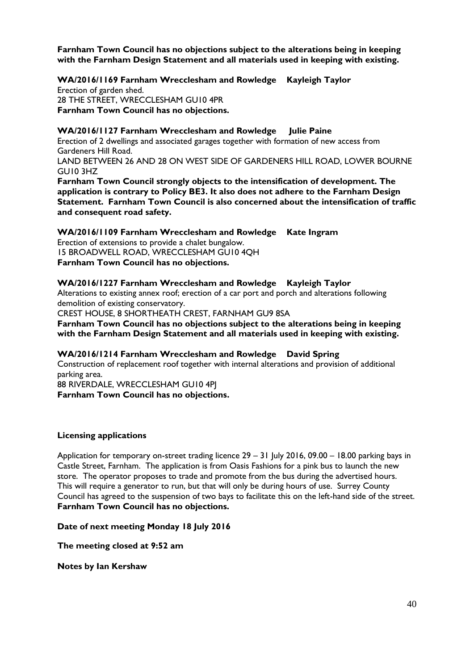**Farnham Town Council has no objections subject to the alterations being in keeping with the Farnham Design Statement and all materials used in keeping with existing.**

**WA/2016/1169 Farnham Wrecclesham and Rowledge Kayleigh Taylor**

Erection of garden shed. 28 THE STREET, WRECCLESHAM GU10 4PR **Farnham Town Council has no objections.**

#### **WA/2016/1127 Farnham Wrecclesham and Rowledge Julie Paine**

Erection of 2 dwellings and associated garages together with formation of new access from Gardeners Hill Road.

LAND BETWEEN 26 AND 28 ON WEST SIDE OF GARDENERS HILL ROAD, LOWER BOURNE GU10 3HZ

**Farnham Town Council strongly objects to the intensification of development. The application is contrary to Policy BE3. It also does not adhere to the Farnham Design Statement. Farnham Town Council is also concerned about the intensification of traffic and consequent road safety.** 

**WA/2016/1109 Farnham Wrecclesham and Rowledge Kate Ingram** Erection of extensions to provide a chalet bungalow. 15 BROADWELL ROAD, WRECCLESHAM GU10 4QH **Farnham Town Council has no objections.**

#### **WA/2016/1227 Farnham Wrecclesham and Rowledge Kayleigh Taylor**

Alterations to existing annex roof; erection of a car port and porch and alterations following demolition of existing conservatory.

CREST HOUSE, 8 SHORTHEATH CREST, FARNHAM GU9 8SA

**Farnham Town Council has no objections subject to the alterations being in keeping with the Farnham Design Statement and all materials used in keeping with existing.**

#### **WA/2016/1214 Farnham Wrecclesham and Rowledge David Spring**

Construction of replacement roof together with internal alterations and provision of additional parking area.

88 RIVERDALE, WRECCLESHAM GU10 4PJ **Farnham Town Council has no objections.**

#### **Licensing applications**

Application for temporary on-street trading licence 29 – 31 July 2016, 09.00 – 18.00 parking bays in Castle Street, Farnham. The application is from Oasis Fashions for a pink bus to launch the new store. The operator proposes to trade and promote from the bus during the advertised hours. This will require a generator to run, but that will only be during hours of use. Surrey County Council has agreed to the suspension of two bays to facilitate this on the left-hand side of the street. **Farnham Town Council has no objections.**

#### **Date of next meeting Monday 18 July 2016**

**The meeting closed at 9:52 am**

**Notes by Ian Kershaw**